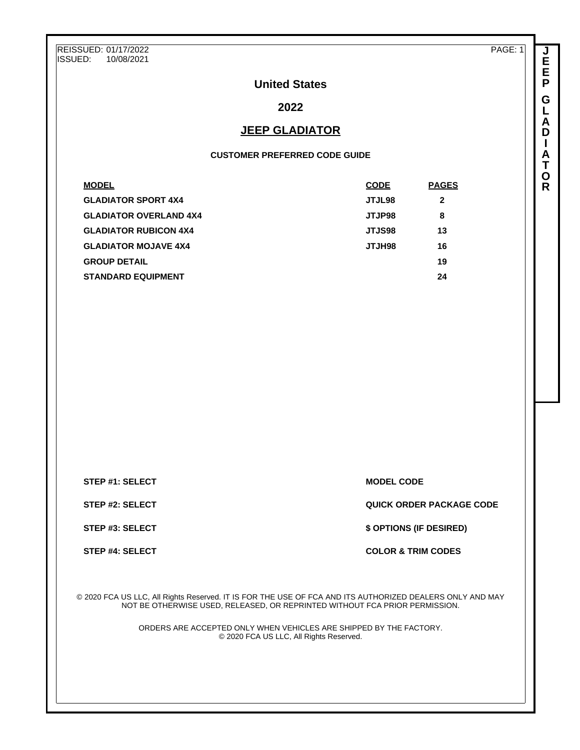REISSUED: 01/17/2022 ISSUED: 10/08/2021

PAGE: 1

**J E E P G L A D I A T O R**

# **United States**

# **2022**

## **JEEP GLADIATOR**

#### **CUSTOMER PREFERRED CODE GUIDE**

| <b>CODE</b>   | <b>PAGES</b> |
|---------------|--------------|
| JTJL98        | $\mathbf{2}$ |
| <b>JTJP98</b> | 8            |
| <b>JTJS98</b> | 13           |
| <b>SPHLTL</b> | 16           |
|               | 19           |
|               | 24           |
|               |              |

**STEP #1: SELECT MODEL CODE** 

**STEP #2: SELECT QUICK ORDER PACKAGE CODE**

**STEP #3: SELECT \$ OPTIONS (IF DESIRED)**

**STEP #4: SELECT COLOR & TRIM CODES** 

© 2020 FCA US LLC, All Rights Reserved. IT IS FOR THE USE OF FCA AND ITS AUTHORIZED DEALERS ONLY AND MAY NOT BE OTHERWISE USED, RELEASED, OR REPRINTED WITHOUT FCA PRIOR PERMISSION.

> ORDERS ARE ACCEPTED ONLY WHEN VEHICLES ARE SHIPPED BY THE FACTORY. © 2020 FCA US LLC, All Rights Reserved.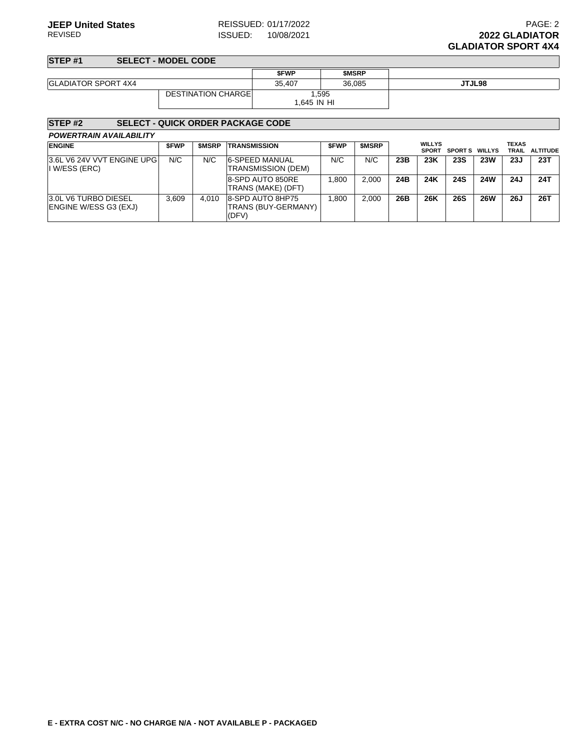**STEP #1 SELECT - MODEL CODE**

|                            |                            | <b>SFWP</b> | <b>SMSRP</b> |        |
|----------------------------|----------------------------|-------------|--------------|--------|
| <b>GLADIATOR SPORT 4X4</b> |                            | 35,407      | 36,085       | JTJL98 |
|                            | <b>DESTINATION CHARGEL</b> | ,595        |              |        |
|                            |                            | 1.645 IN HI |              |        |

#### **STEP #2 SELECT - QUICK ORDER PACKAGE CODE**

| <b>POWERTRAIN AVAILABILITY</b> |  |
|--------------------------------|--|
|                                |  |

| <b>ENGINE</b>                                        | <b>SFWP</b> | <b>SMSRP</b> | <b>TRANSMISSION</b>                              | <b>SFWP</b> | <b>SMSRP</b> |     | <b>WILLYS</b><br><b>SPORT</b> | <b>SPORTS WILLYS</b> |            | <b>TEXAS</b><br>TRAIL | <b>ALTITUDE</b> |
|------------------------------------------------------|-------------|--------------|--------------------------------------------------|-------------|--------------|-----|-------------------------------|----------------------|------------|-----------------------|-----------------|
| 3.6L V6 24V VVT ENGINE UPG<br>I W/ESS (ERC)          | N/C         | N/C          | <b>6-SPEED MANUAL</b><br>TRANSMISSION (DEM)      | N/C         | N/C          | 23B | 23K                           | <b>23S</b>           | <b>23W</b> | 23J                   | 23T             |
|                                                      |             |              | 8-SPD AUTO 850RE<br>TRANS (MAKE) (DFT)           | .800        | 2.000        | 24B | 24K                           | <b>24S</b>           | <b>24W</b> | 24J                   | 24T             |
| <b>3.0L V6 TURBO DIESEL</b><br>ENGINE W/ESS G3 (EXJ) | 3.609       | 4.010        | 8-SPD AUTO 8HP75<br>TRANS (BUY-GERMANY)<br>(DFV) | .800        | 2.000        | 26B | 26K                           | <b>26S</b>           | <b>26W</b> | <b>26J</b>            | 26T             |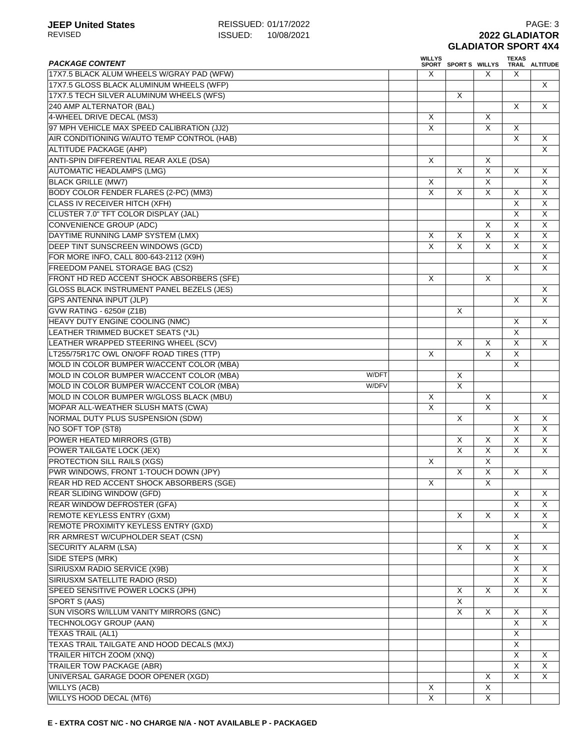| <b>PACKAGE CONTENT</b>                             | <b>WILLYS</b> | SPORT SPORTS WILLYS     |                         | <b>TEXAS</b>                 | TRAIL ALTITUDE                            |
|----------------------------------------------------|---------------|-------------------------|-------------------------|------------------------------|-------------------------------------------|
| 17X7.5 BLACK ALUM WHEELS W/GRAY PAD (WFW)          | X             |                         | X                       | X                            |                                           |
| 17X7.5 GLOSS BLACK ALUMINUM WHEELS (WFP)           |               |                         |                         |                              | X.                                        |
| 17X7.5 TECH SILVER ALUMINUM WHEELS (WFS)           |               | X                       |                         |                              |                                           |
| 240 AMP ALTERNATOR (BAL)                           |               |                         |                         | $\times$                     | X                                         |
| 4-WHEEL DRIVE DECAL (MS3)                          | X             |                         | X                       |                              |                                           |
| 97 MPH VEHICLE MAX SPEED CALIBRATION (JJ2)         | X             |                         | $\overline{\mathsf{x}}$ | X                            |                                           |
| AIR CONDITIONING W/AUTO TEMP CONTROL (HAB)         |               |                         |                         | $\overline{\mathsf{x}}$      | X                                         |
| <b>ALTITUDE PACKAGE (AHP)</b>                      |               |                         |                         |                              | X                                         |
| ANTI-SPIN DIFFERENTIAL REAR AXLE (DSA)             | $\times$      |                         | $\sf X$                 |                              |                                           |
| <b>AUTOMATIC HEADLAMPS (LMG)</b>                   |               | X                       | $\overline{X}$          | $\boldsymbol{\mathsf{X}}$    | X                                         |
| <b>BLACK GRILLE (MW7)</b>                          | X             |                         | $\overline{X}$          |                              | X                                         |
| BODY COLOR FENDER FLARES (2-PC) (MM3)              |               |                         |                         |                              |                                           |
|                                                    | Χ             | X                       | Χ                       | Χ<br>$\overline{\mathsf{x}}$ | $\overline{X}$<br>$\overline{\mathsf{x}}$ |
| <b>CLASS IV RECEIVER HITCH (XFH)</b>               |               |                         |                         |                              |                                           |
| CLUSTER 7.0" TFT COLOR DISPLAY (JAL)               |               |                         |                         | $\overline{X}$               | X                                         |
| <b>CONVENIENCE GROUP (ADC)</b>                     |               |                         | X                       | $\overline{\mathsf{x}}$      | $\overline{X}$                            |
| DAYTIME RUNNING LAMP SYSTEM (LMX)                  | X             | X                       | $\overline{\mathsf{x}}$ | $\overline{\mathsf{x}}$      | X                                         |
| DEEP TINT SUNSCREEN WINDOWS (GCD)                  | X             | $\overline{\mathsf{x}}$ | X                       | $\overline{\mathsf{x}}$      | X                                         |
| FOR MORE INFO, CALL 800-643-2112 (X9H)             |               |                         |                         |                              | X                                         |
| FREEDOM PANEL STORAGE BAG (CS2)                    |               |                         |                         | $\boldsymbol{\mathsf{X}}$    | $\overline{X}$                            |
| FRONT HD RED ACCENT SHOCK ABSORBERS (SFE)          | X             |                         | X                       |                              |                                           |
| GLOSS BLACK INSTRUMENT PANEL BEZELS (JES)          |               |                         |                         |                              | X                                         |
| <b>GPS ANTENNA INPUT (JLP)</b>                     |               |                         |                         | $\times$                     | $\overline{X}$                            |
| <b>GVW RATING - 6250# (Z1B)</b>                    |               | X                       |                         |                              |                                           |
| HEAVY DUTY ENGINE COOLING (NMC)                    |               |                         |                         | $\boldsymbol{\mathsf{X}}$    | X                                         |
| LEATHER TRIMMED BUCKET SEATS (*JL)                 |               |                         |                         | $\overline{\mathsf{x}}$      |                                           |
| LEATHER WRAPPED STEERING WHEEL (SCV)               |               | X                       | X                       | $\boldsymbol{\mathsf{X}}$    | X                                         |
| LT255/75R17C OWL ON/OFF ROAD TIRES (TTP)           | X             |                         | $\overline{\mathsf{x}}$ | $\overline{\mathsf{x}}$      |                                           |
| MOLD IN COLOR BUMPER W/ACCENT COLOR (MBA)          |               |                         |                         | $\overline{\mathsf{x}}$      |                                           |
| MOLD IN COLOR BUMPER W/ACCENT COLOR (MBA)<br>W/DFT |               | X                       |                         |                              |                                           |
| MOLD IN COLOR BUMPER W/ACCENT COLOR (MBA)<br>W/DFV |               | $\overline{\mathsf{x}}$ |                         |                              |                                           |
| MOLD IN COLOR BUMPER W/GLOSS BLACK (MBU)           | X             |                         | X                       |                              | X                                         |
| MOPAR ALL-WEATHER SLUSH MATS (CWA)                 | X             |                         | $\overline{\mathsf{x}}$ |                              |                                           |
| NORMAL DUTY PLUS SUSPENSION (SDW)                  |               | X                       |                         | X                            | X                                         |
| NO SOFT TOP (ST8)                                  |               |                         |                         | $\overline{\mathsf{x}}$      | $\overline{X}$                            |
| POWER HEATED MIRRORS (GTB)                         |               | X                       | X                       | $\overline{\mathsf{x}}$      | X                                         |
| POWER TAILGATE LOCK (JEX)                          |               | $\overline{\mathsf{x}}$ | X                       | $\overline{\mathsf{x}}$      | X                                         |
| <b>PROTECTION SILL RAILS (XGS)</b>                 | $\times$      |                         | $\overline{X}$          |                              |                                           |
| PWR WINDOWS, FRONT 1-TOUCH DOWN (JPY)              |               | X                       | X                       | X                            | X                                         |
| REAR HD RED ACCENT SHOCK ABSORBERS (SGE)           | х             |                         | Χ                       |                              |                                           |
| <b>REAR SLIDING WINDOW (GFD)</b>                   |               |                         |                         | X                            | X                                         |
| REAR WINDOW DEFROSTER (GFA)                        |               |                         |                         | $\times$                     | X                                         |
| REMOTE KEYLESS ENTRY (GXM)                         |               | X                       | X                       | $\overline{\mathsf{x}}$      | X                                         |
| REMOTE PROXIMITY KEYLESS ENTRY (GXD)               |               |                         |                         |                              | X                                         |
| RR ARMREST W/CUPHOLDER SEAT (CSN)                  |               |                         |                         | X                            |                                           |
| <b>SECURITY ALARM (LSA)</b>                        |               | X                       | X                       | X                            | X                                         |
| SIDE STEPS (MRK)                                   |               |                         |                         | $\times$                     |                                           |
| SIRIUSXM RADIO SERVICE (X9B)                       |               |                         |                         | X                            | X                                         |
| SIRIUSXM SATELLITE RADIO (RSD)                     |               |                         |                         | X                            | X                                         |
| SPEED SENSITIVE POWER LOCKS (JPH)                  |               | X                       | X                       | $\times$                     | X.                                        |
| SPORT S (AAS)                                      |               | X                       |                         |                              |                                           |
| SUN VISORS W/ILLUM VANITY MIRRORS (GNC)            |               | X                       | $\sf X$                 | X                            | X                                         |
|                                                    |               |                         |                         | X                            | X                                         |
| TECHNOLOGY GROUP (AAN)                             |               |                         |                         | $\overline{\mathsf{x}}$      |                                           |
| <b>TEXAS TRAIL (AL1)</b>                           |               |                         |                         |                              |                                           |
| TEXAS TRAIL TAILGATE AND HOOD DECALS (MXJ)         |               |                         |                         | X                            |                                           |
| TRAILER HITCH ZOOM (XNQ)                           |               |                         |                         | $\sf X$                      | X                                         |
| <b>TRAILER TOW PACKAGE (ABR)</b>                   |               |                         |                         | $\sf X$                      | X                                         |
| UNIVERSAL GARAGE DOOR OPENER (XGD)                 |               |                         | X                       | X                            | X                                         |
| <b>WILLYS (ACB)</b>                                | X             |                         | X                       |                              |                                           |
| <b>WILLYS HOOD DECAL (MT6)</b>                     | X             |                         | X                       |                              |                                           |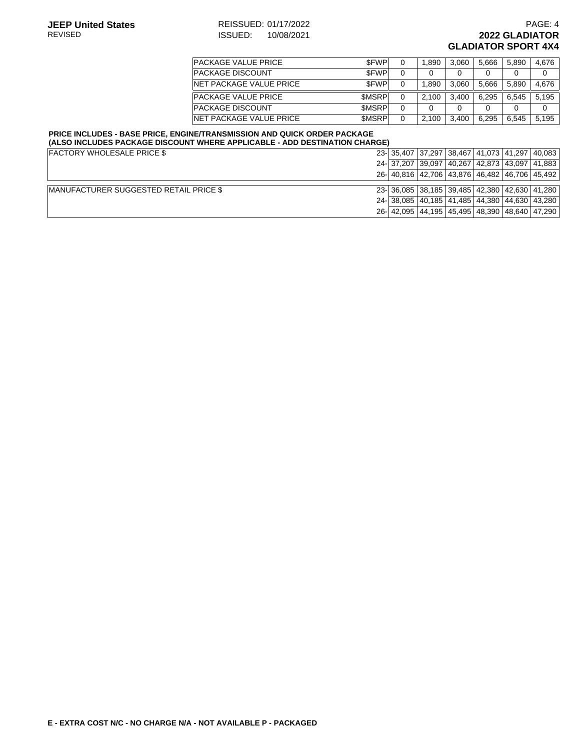#### **JEEP United States** REISSUED: 01/17/2022<br>REVISED **REVISED PAGE: 4** AEVISED **PAGE: 4** ISSUED: 10/08/2021 **REVIED: 10/08/2021 12022 GLADIATOR GLADIATOR SPORT 4X4**

| <b>IPACKAGE VALUE PRICE</b> | \$FWP        | 1.890 | 3.060 | 5.666 | 5.890 | 4.676 |
|-----------------------------|--------------|-------|-------|-------|-------|-------|
| <b>IPACKAGE DISCOUNT</b>    | <b>SFWP</b>  |       |       | 0     |       | 0     |
| INET PACKAGE VALUE PRICE    | \$FWP        | 1.890 | 3.060 | 5.666 | 5.890 | 4.676 |
| <b>IPACKAGE VALUE PRICE</b> | <b>SMSRP</b> | 2.100 | 3.400 | 6.295 | 6.545 | 5.195 |
| <b>PACKAGE DISCOUNT</b>     | <b>SMSRP</b> |       |       | 0     |       | 0     |
| INET PACKAGE VALUE PRICE    | <b>SMSRP</b> | 2.100 | 3.400 | 6.295 | 6.545 | 5.195 |

#### **PRICE INCLUDES - BASE PRICE, ENGINE/TRANSMISSION AND QUICK ORDER PACKAGE (ALSO INCLUDES PACKAGE DISCOUNT WHERE APPLICABLE - ADD DESTINATION CHARGE)**

| <b>FACTORY WHOLESALE PRICE \$</b>              |  |  |                                               | 23- 35,407 37,297 38,467 41,073 41,297 40,083 |
|------------------------------------------------|--|--|-----------------------------------------------|-----------------------------------------------|
|                                                |  |  | 24- 37,207 39,097 40,267 42,873 43,097 41,883 |                                               |
|                                                |  |  |                                               | 26- 40.816 42.706 43.876 46.482 46.706 45.492 |
|                                                |  |  |                                               |                                               |
| <b>IMANUFACTURER SUGGESTED RETAIL PRICE \$</b> |  |  | 23-36.085 38.185 39.485 42.380 42.630 41.280  |                                               |
|                                                |  |  | 24- 38,085 40,185 41,485 44,380 44,630 43,280 |                                               |
|                                                |  |  | 26- 42,095 44,195 45,495 48,390 48,640 47,290 |                                               |
|                                                |  |  |                                               |                                               |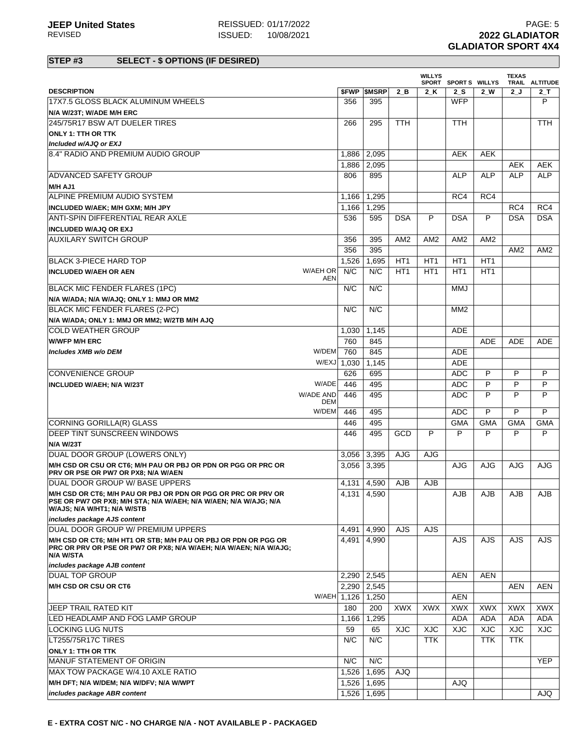|                                                                                                                                                                  |                  |             |                          |                 | <b>WILLYS</b>   | SPORT SPORTS WILLYS |                 | <b>TEXAS</b>    | TRAIL ALTITUDE  |
|------------------------------------------------------------------------------------------------------------------------------------------------------------------|------------------|-------------|--------------------------|-----------------|-----------------|---------------------|-----------------|-----------------|-----------------|
| <b>DESCRIPTION</b>                                                                                                                                               |                  |             | <b><i>SFWP SMSRP</i></b> | 2B              | 2 K             | 2S                  | $2$ W           | 2J              | $2-$ T          |
| 17X7.5 GLOSS BLACK ALUMINUM WHEELS                                                                                                                               |                  | 356         | 395                      |                 |                 | <b>WFP</b>          |                 |                 | P               |
| N/A W/23T; W/ADE M/H ERC                                                                                                                                         |                  |             |                          |                 |                 |                     |                 |                 |                 |
| 245/75R17 BSW A/T DUELER TIRES                                                                                                                                   |                  | 266         | 295                      | <b>TTH</b>      |                 | <b>TTH</b>          |                 |                 | <b>TTH</b>      |
| <b>ONLY 1: TTH OR TTK</b>                                                                                                                                        |                  |             |                          |                 |                 |                     |                 |                 |                 |
| Included w/AJQ or EXJ                                                                                                                                            |                  |             |                          |                 |                 |                     |                 |                 |                 |
| 8.4" RADIO AND PREMIUM AUDIO GROUP                                                                                                                               |                  | 1,886       | 2,095                    |                 |                 | <b>AEK</b>          | <b>AEK</b>      |                 |                 |
|                                                                                                                                                                  |                  | 1,886       | 2,095                    |                 |                 |                     |                 | <b>AEK</b>      | AEK             |
| <b>ADVANCED SAFETY GROUP</b>                                                                                                                                     |                  | 806         | 895                      |                 |                 | <b>ALP</b>          | <b>ALP</b>      | <b>ALP</b>      | <b>ALP</b>      |
| M/H AJ1                                                                                                                                                          |                  |             |                          |                 |                 |                     |                 |                 |                 |
| ALPINE PREMIUM AUDIO SYSTEM                                                                                                                                      |                  | 1,166       | 1,295                    |                 |                 | RC4                 | RC4             |                 |                 |
| INCLUDED W/AEK; M/H GXM; M/H JPY                                                                                                                                 |                  | 1.166       | 1,295                    |                 |                 |                     |                 | RC4             | RC4             |
| ANTI-SPIN DIFFERENTIAL REAR AXLE                                                                                                                                 |                  | 536         | 595                      | <b>DSA</b>      | P               | <b>DSA</b>          | P               | <b>DSA</b>      | <b>DSA</b>      |
| <b>INCLUDED W/AJQ OR EXJ</b>                                                                                                                                     |                  |             |                          |                 |                 |                     |                 |                 |                 |
| <b>AUXILARY SWITCH GROUP</b>                                                                                                                                     |                  | 356         | 395                      | AM <sub>2</sub> | AM <sub>2</sub> | AM <sub>2</sub>     | AM <sub>2</sub> |                 |                 |
|                                                                                                                                                                  |                  | 356         | 395                      |                 |                 |                     |                 | AM <sub>2</sub> | AM <sub>2</sub> |
| BLACK 3-PIECE HARD TOP                                                                                                                                           |                  | 1,526       | 1,695                    | HT <sub>1</sub> | HT <sub>1</sub> | HT <sub>1</sub>     | HT <sub>1</sub> |                 |                 |
| <b>INCLUDED W/AEH OR AEN</b>                                                                                                                                     | W/AEH OR         | N/C         | N/C                      | HT <sub>1</sub> | HT <sub>1</sub> | HT <sub>1</sub>     | HT <sub>1</sub> |                 |                 |
|                                                                                                                                                                  | AEN              |             |                          |                 |                 |                     |                 |                 |                 |
| <b>BLACK MIC FENDER FLARES (1PC)</b>                                                                                                                             |                  | N/C         | N/C                      |                 |                 | <b>MMJ</b>          |                 |                 |                 |
| N/A W/ADA; N/A W/AJQ; ONLY 1: MMJ OR MM2                                                                                                                         |                  |             |                          |                 |                 |                     |                 |                 |                 |
| <b>BLACK MIC FENDER FLARES (2-PC)</b>                                                                                                                            |                  | N/C         | N/C                      |                 |                 | MM <sub>2</sub>     |                 |                 |                 |
| N/A W/ADA; ONLY 1: MMJ OR MM2; W/2TB M/H AJQ                                                                                                                     |                  |             |                          |                 |                 |                     |                 |                 |                 |
| <b>COLD WEATHER GROUP</b>                                                                                                                                        |                  | 1,030       | 1,145                    |                 |                 | <b>ADE</b>          |                 |                 |                 |
| <b>W/WFP M/H ERC</b>                                                                                                                                             |                  | 760         | 845                      |                 |                 |                     | <b>ADE</b>      | <b>ADE</b>      | <b>ADE</b>      |
| Includes XMB w/o DEM                                                                                                                                             | W/DEM            | 760         | 845                      |                 |                 | <b>ADE</b>          |                 |                 |                 |
|                                                                                                                                                                  | W/EXJ            | 1,030       | 1,145                    |                 |                 | <b>ADE</b>          |                 |                 |                 |
| <b>CONVENIENCE GROUP</b>                                                                                                                                         |                  | 626         | 695                      |                 |                 | <b>ADC</b>          | P               | P               | P               |
| INCLUDED W/AEH; N/A W/23T                                                                                                                                        | W/ADE            | 446         | 495                      |                 |                 | <b>ADC</b>          | P               | P               | P               |
|                                                                                                                                                                  | W/ADE AND<br>DEM | 446         | 495                      |                 |                 | <b>ADC</b>          | P               | P               | P               |
|                                                                                                                                                                  | W/DEM            | 446         | 495                      |                 |                 | <b>ADC</b>          | P               | P               | P               |
| CORNING GORILLA(R) GLASS                                                                                                                                         |                  | 446         | 495                      |                 |                 | <b>GMA</b>          | <b>GMA</b>      | <b>GMA</b>      | <b>GMA</b>      |
| DEEP TINT SUNSCREEN WINDOWS                                                                                                                                      |                  | 446         | 495                      | GCD             | P               | P                   | P               | P               | P               |
| <b>N/A W/23T</b>                                                                                                                                                 |                  |             |                          |                 |                 |                     |                 |                 |                 |
| DUAL DOOR GROUP (LOWERS ONLY)                                                                                                                                    |                  | 3,056       | 3,395                    | <b>AJG</b>      | AJG             |                     |                 |                 |                 |
| M/H CSD OR CSU OR CT6; M/H PAU OR PBJ OR PDN OR PGG OR PRC OR                                                                                                    |                  | 3,056       | 3.395                    |                 |                 | AJG                 | <b>AJG</b>      | AJG             | AJG             |
| PRV OR PSE OR PW7 OR PX8; N/A W/AEN                                                                                                                              |                  |             |                          |                 |                 |                     |                 |                 |                 |
| DUAL DOOR GROUP W/ BASE UPPERS                                                                                                                                   |                  | 4,131       | 4,590                    | AJB             | AJB             |                     |                 |                 |                 |
| M/H CSD OR CT6; M/H PAU OR PBJ OR PDN OR PGG OR PRC OR PRV OR<br>PSE OR PW7 OR PX8; M/H STA; N/A W/AEH; N/A W/AEN; N/A W/AJG; N/A<br>W/AJS; N/A W/HT1; N/A W/STB |                  |             | 4,131 4,590              |                 |                 | <b>AJB</b>          | AJB             | AJB             | AJB             |
| includes package AJS content                                                                                                                                     |                  |             |                          |                 |                 |                     |                 |                 |                 |
| DUAL DOOR GROUP W/ PREMIUM UPPERS                                                                                                                                |                  | 4,491       | 4,990                    | <b>AJS</b>      | <b>AJS</b>      |                     |                 |                 |                 |
| M/H CSD OR CT6; M/H HT1 OR STB; M/H PAU OR PBJ OR PDN OR PGG OR<br>PRC OR PRV OR PSE OR PW7 OR PX8; N/A W/AEH; N/A W/AEN; N/A W/AJG;<br><b>N/A W/STA</b>         |                  | 4,491       | 4.990                    |                 |                 | AJS.                | AJS             | <b>AJS</b>      | <b>AJS</b>      |
| includes package AJB content                                                                                                                                     |                  |             |                          |                 |                 |                     |                 |                 |                 |
| <b>DUAL TOP GROUP</b>                                                                                                                                            |                  | 2,290       | 2,545                    |                 |                 | <b>AEN</b>          | <b>AEN</b>      |                 |                 |
| M/H CSD OR CSU OR CT6                                                                                                                                            |                  | 2,290       | 2,545                    |                 |                 |                     |                 | <b>AEN</b>      | <b>AEN</b>      |
|                                                                                                                                                                  |                  | W/AEH 1,126 | 1,250                    |                 |                 | <b>AEN</b>          |                 |                 |                 |
| JEEP TRAIL RATED KIT                                                                                                                                             |                  | 180         | 200                      | <b>XWX</b>      | <b>XWX</b>      | XWX                 | XWX             | <b>XWX</b>      | <b>XWX</b>      |
| LED HEADLAMP AND FOG LAMP GROUP                                                                                                                                  |                  | 1,166       | 1,295                    |                 |                 | <b>ADA</b>          | <b>ADA</b>      | <b>ADA</b>      | <b>ADA</b>      |
| LOCKING LUG NUTS                                                                                                                                                 |                  | 59          | 65                       | <b>XJC</b>      | <b>XJC</b>      | <b>XJC</b>          | <b>XJC</b>      | <b>XJC</b>      | XJC             |
| LT255/75R17C TIRES                                                                                                                                               |                  | N/C         | N/C                      |                 | <b>TTK</b>      |                     | <b>TTK</b>      | TTK             |                 |
| <b>ONLY 1: TTH OR TTK</b>                                                                                                                                        |                  |             |                          |                 |                 |                     |                 |                 |                 |
| MANUF STATEMENT OF ORIGIN                                                                                                                                        |                  | N/C         | N/C                      |                 |                 |                     |                 |                 | <b>YEP</b>      |
| MAX TOW PACKAGE W/4.10 AXLE RATIO                                                                                                                                |                  | 1,526       | 1,695                    | AJQ             |                 |                     |                 |                 |                 |
| M/H DFT; N/A W/DEM; N/A W/DFV; N/A W/WPT                                                                                                                         |                  | 1,526       | 1,695                    |                 |                 | AJQ                 |                 |                 |                 |
| includes package ABR content                                                                                                                                     |                  | 1,526       | 1,695                    |                 |                 |                     |                 |                 | QLA             |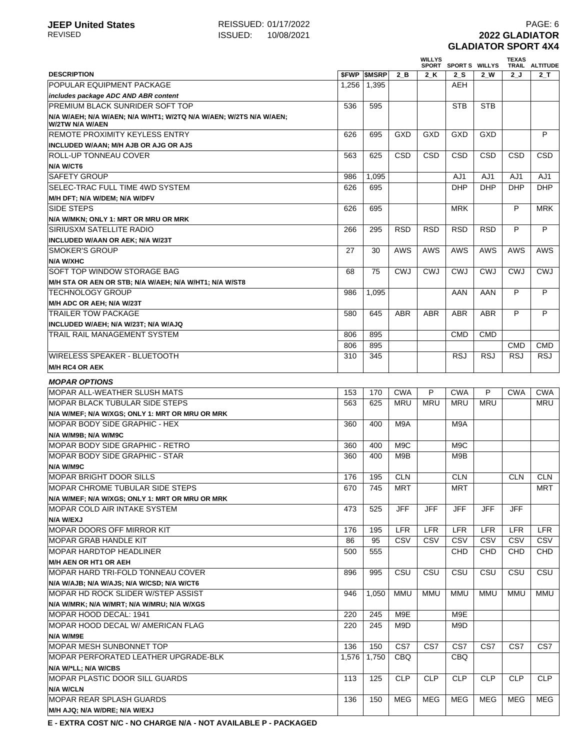## **JEEP United States** REISSUED: 01/17/2022<br>REVISED **REVISED PAGE: 6**<br>REVISED **2022 GLADIATOR** REVISED ISSUED: 10/08/2021 **2022 GLADIATOR GLADIATOR SPORT 4X4**

|                                                                    |       |                     |                  | <b>WILLYS</b> | SPORT SPORTS WILLYS |            | <b>TEXAS</b> | TRAIL ALTITUDE |
|--------------------------------------------------------------------|-------|---------------------|------------------|---------------|---------------------|------------|--------------|----------------|
| <b>DESCRIPTION</b>                                                 |       | <b>\$FWP \$MSRP</b> | 2 B              | 2 K           | 2S                  | $2$ W      | 2 J          | $2$ _T         |
| POPULAR EQUIPMENT PACKAGE                                          | 1,256 | 1,395               |                  |               | <b>AEH</b>          |            |              |                |
| includes package ADC AND ABR content                               |       |                     |                  |               |                     |            |              |                |
| <b>PREMIUM BLACK SUNRIDER SOFT TOP</b>                             | 536   | 595                 |                  |               | <b>STB</b>          | <b>STB</b> |              |                |
| N/A W/AEH; N/A W/AEN; N/A W/HT1; W/2TQ N/A W/AEN; W/2TS N/A W/AEN; |       |                     |                  |               |                     |            |              |                |
| W/2TW N/A W/AEN                                                    |       |                     |                  |               |                     |            |              |                |
| <b>REMOTE PROXIMITY KEYLESS ENTRY</b>                              | 626   | 695                 | GXD              | GXD           | GXD                 | GXD        |              | P              |
| INCLUDED W/AAN; M/H AJB OR AJG OR AJS                              |       |                     |                  |               |                     |            |              |                |
| <b>ROLL-UP TONNEAU COVER</b>                                       | 563   | 625                 | <b>CSD</b>       | <b>CSD</b>    | <b>CSD</b>          | CSD        | <b>CSD</b>   | CSD            |
| N/A W/CT6                                                          |       |                     |                  |               |                     |            |              |                |
| <b>SAFETY GROUP</b>                                                | 986   | 1,095               |                  |               | AJ1                 | AJ1        | AJ1          | AJ1            |
| SELEC-TRAC FULL TIME 4WD SYSTEM                                    | 626   | 695                 |                  |               | <b>DHP</b>          | <b>DHP</b> | <b>DHP</b>   | <b>DHP</b>     |
| M/H DFT; N/A W/DEM; N/A W/DFV                                      |       |                     |                  |               |                     |            |              |                |
| <b>SIDE STEPS</b>                                                  | 626   | 695                 |                  |               | <b>MRK</b>          |            | P            | <b>MRK</b>     |
| N/A W/MKN; ONLY 1: MRT OR MRU OR MRK                               |       |                     |                  |               |                     |            |              |                |
| <b>SIRIUSXM SATELLITE RADIO</b>                                    | 266   | 295                 | <b>RSD</b>       | <b>RSD</b>    | <b>RSD</b>          | <b>RSD</b> | P            | P              |
| INCLUDED W/AAN OR AEK; N/A W/23T                                   |       |                     |                  |               |                     |            |              |                |
| <b>SMOKER'S GROUP</b>                                              | 27    | 30                  | <b>AWS</b>       | <b>AWS</b>    | <b>AWS</b>          | AWS        | AWS          | <b>AWS</b>     |
| <b>N/A W/XHC</b>                                                   |       |                     |                  |               |                     |            |              |                |
| SOFT TOP WINDOW STORAGE BAG                                        | 68    | 75                  | CWJ              | <b>CWJ</b>    | <b>CWJ</b>          | <b>CWJ</b> | <b>CWJ</b>   | <b>CWJ</b>     |
| M/H STA OR AEN OR STB; N/A W/AEH; N/A W/HT1; N/A W/ST8             |       |                     |                  |               |                     |            |              |                |
| <b>TECHNOLOGY GROUP</b>                                            | 986   | 1,095               |                  |               | AAN                 | AAN        | P            | P              |
| M/H ADC OR AEH: N/A W/23T                                          |       |                     |                  |               |                     |            |              |                |
| <b>TRAILER TOW PACKAGE</b>                                         | 580   | 645                 | <b>ABR</b>       | <b>ABR</b>    | <b>ABR</b>          | <b>ABR</b> | P            | P              |
| INCLUDED W/AEH; N/A W/23T; N/A W/AJQ                               |       |                     |                  |               |                     |            |              |                |
| TRAIL RAIL MANAGEMENT SYSTEM                                       | 806   | 895                 |                  |               | <b>CMD</b>          | <b>CMD</b> |              |                |
|                                                                    | 806   | 895                 |                  |               |                     |            | <b>CMD</b>   | <b>CMD</b>     |
| <b>WIRELESS SPEAKER - BLUETOOTH</b>                                | 310   | 345                 |                  |               | <b>RSJ</b>          | <b>RSJ</b> | <b>RSJ</b>   | <b>RSJ</b>     |
| <b>M/H RC4 OR AEK</b>                                              |       |                     |                  |               |                     |            |              |                |
|                                                                    |       |                     |                  |               |                     |            |              |                |
| <b>MOPAR OPTIONS</b>                                               |       |                     |                  |               |                     |            |              |                |
| MOPAR ALL-WEATHER SLUSH MATS                                       | 153   | 170                 | <b>CWA</b>       | P             | <b>CWA</b>          | P          | <b>CWA</b>   | <b>CWA</b>     |
| <b>MOPAR BLACK TUBULAR SIDE STEPS</b>                              | 563   | 625                 | <b>MRU</b>       | <b>MRU</b>    | <b>MRU</b>          | <b>MRU</b> |              | <b>MRU</b>     |
| N/A W/MEF; N/A W/XGS; ONLY 1: MRT OR MRU OR MRK                    |       |                     |                  |               |                     |            |              |                |
| <b>MOPAR BODY SIDE GRAPHIC - HEX</b>                               | 360   | 400                 | M9A              |               | M9A                 |            |              |                |
| N/A W/M9B; N/A W/M9C                                               |       |                     |                  |               |                     |            |              |                |
| MOPAR BODY SIDE GRAPHIC - RETRO                                    | 360   | 400                 | M <sub>9</sub> C |               | M <sub>9</sub> C    |            |              |                |
| MOPAR BODY SIDE GRAPHIC - STAR                                     | 360   | 400                 | M9B              |               | M9B                 |            |              |                |
| N/A W/M9C                                                          |       |                     |                  |               |                     |            |              |                |
| <b>MOPAR BRIGHT DOOR SILLS</b>                                     | 176   | 195                 | <b>CLN</b>       |               | CLN                 |            | <b>CLN</b>   | CLN            |
| <b>MOPAR CHROME TUBULAR SIDE STEPS</b>                             | 670   | 745                 | <b>MRT</b>       |               | <b>MRT</b>          |            |              | MRT            |
| N/A W/MEF; N/A W/XGS; ONLY 1: MRT OR MRU OR MRK                    |       |                     |                  |               |                     |            |              |                |
| MOPAR COLD AIR INTAKE SYSTEM                                       | 473   | 525                 | JFF              | JFF           | <b>JFF</b>          | <b>JFF</b> | <b>JFF</b>   |                |
| N/A W/EXJ                                                          |       |                     |                  |               |                     |            |              |                |
| <b>MOPAR DOORS OFF MIRROR KIT</b>                                  | 176   | 195                 | <b>LFR</b>       | <b>LFR</b>    | <b>LFR</b>          | LFR        | <b>LFR</b>   | <b>LFR</b>     |
| MOPAR GRAB HANDLE KIT                                              | 86    | 95                  | CSV              | CSV           | CSV                 | CSV        | CSV          | CSV            |
| <b>MOPAR HARDTOP HEADLINER</b>                                     | 500   | 555                 |                  |               | <b>CHD</b>          | <b>CHD</b> | <b>CHD</b>   | <b>CHD</b>     |
| <b>M/H AEN OR HT1 OR AEH</b>                                       |       |                     |                  |               |                     |            |              |                |
| MOPAR HARD TRI-FOLD TONNEAU COVER                                  | 896   | 995                 | CSU              | CSU           | CSU                 | CSU        | CSU          | CSU            |
| N/A W/AJB; N/A W/AJS; N/A W/CSD; N/A W/CT6                         |       |                     |                  |               |                     |            |              |                |
| MOPAR HD ROCK SLIDER W/STEP ASSIST                                 | 946   | 1,050               | <b>MMU</b>       | MMU           | MMU                 | MMU        | MMU          | MMU            |
| N/A W/MRK; N/A W/MRT; N/A W/MRU; N/A W/XGS                         |       |                     |                  |               |                     |            |              |                |
| MOPAR HOOD DECAL: 1941                                             | 220   | 245                 | M9E              |               | M9E                 |            |              |                |
| MOPAR HOOD DECAL W/ AMERICAN FLAG                                  | 220   | 245                 | M9D              |               | M9D                 |            |              |                |
| N/A W/M9E                                                          |       |                     |                  |               |                     |            |              |                |
| MOPAR MESH SUNBONNET TOP                                           | 136   | 150                 | CS7              | CS7           | CS7                 | CS7        | CS7          | CS7            |
| MOPAR PERFORATED LEATHER UPGRADE-BLK                               | 1,576 | 1,750               | <b>CBQ</b>       |               | <b>CBQ</b>          |            |              |                |
| N/A W/*LL; N/A W/CBS                                               |       |                     |                  |               |                     |            |              |                |
| <b>MOPAR PLASTIC DOOR SILL GUARDS</b>                              | 113   | 125                 | <b>CLP</b>       | <b>CLP</b>    | <b>CLP</b>          | <b>CLP</b> | <b>CLP</b>   | <b>CLP</b>     |
| <b>N/A W/CLN</b>                                                   |       |                     |                  |               |                     |            |              |                |
| <b>MOPAR REAR SPLASH GUARDS</b>                                    | 136   | 150                 | MEG              | MEG           | MEG                 | MEG        | <b>MEG</b>   | <b>MEG</b>     |
| M/H AJQ; N/A W/DRE; N/A W/EXJ                                      |       |                     |                  |               |                     |            |              |                |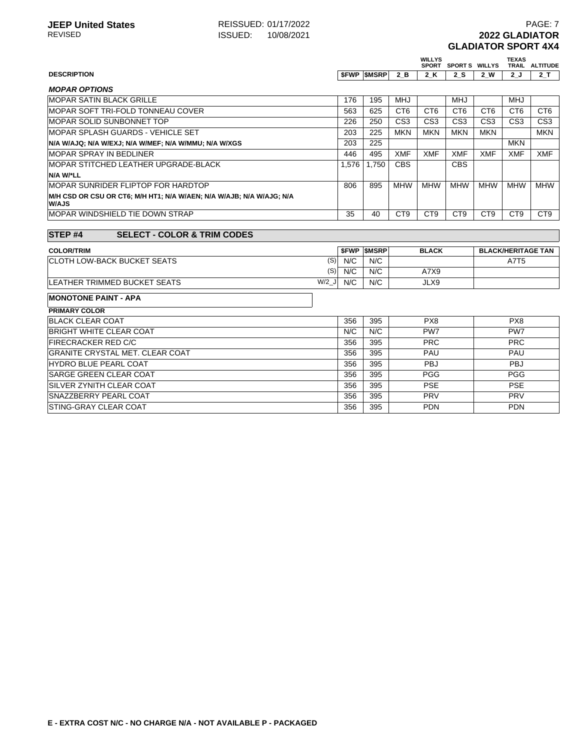|                                                                               |                 |                   |                 | <b>WILLYS</b>   | SPORT SPORTS WILLYS |                 | <b>TEXAS</b>    | TRAIL ALTITUDE            |
|-------------------------------------------------------------------------------|-----------------|-------------------|-----------------|-----------------|---------------------|-----------------|-----------------|---------------------------|
| <b>DESCRIPTION</b>                                                            |                 | <b>SFWP SMSRP</b> | 2B              | 2 K             | 2S                  | 2 W             | 2J              | 2T                        |
| <b>MOPAR OPTIONS</b>                                                          |                 |                   |                 |                 |                     |                 |                 |                           |
| <b>MOPAR SATIN BLACK GRILLE</b>                                               | 176             | 195               | <b>MHJ</b>      |                 | <b>MHJ</b>          |                 | <b>MHJ</b>      |                           |
| MOPAR SOFT TRI-FOLD TONNEAU COVER                                             | 563             | 625               | CT <sub>6</sub> | CT <sub>6</sub> | CT <sub>6</sub>     | CT <sub>6</sub> | CT <sub>6</sub> | CT <sub>6</sub>           |
| MOPAR SOLID SUNBONNET TOP                                                     | 226             | 250               | CS <sub>3</sub> | CS <sub>3</sub> | CS <sub>3</sub>     | CS <sub>3</sub> | CS <sub>3</sub> | CS <sub>3</sub>           |
| <b>MOPAR SPLASH GUARDS - VEHICLE SET</b>                                      | 203             | 225               | <b>MKN</b>      | <b>MKN</b>      | <b>MKN</b>          | <b>MKN</b>      |                 | <b>MKN</b>                |
| N/A W/AJQ; N/A W/EXJ; N/A W/MEF; N/A W/MMU; N/A W/XGS                         | 203             | 225               |                 |                 |                     |                 | <b>MKN</b>      |                           |
| <b>MOPAR SPRAY IN BEDLINER</b>                                                | 446             | 495               | <b>XMF</b>      | <b>XMF</b>      | <b>XMF</b>          | <b>XMF</b>      | <b>XMF</b>      | <b>XMF</b>                |
| MOPAR STITCHED LEATHER UPGRADE-BLACK                                          | 1.576           | 1.750             | <b>CBS</b>      |                 | <b>CBS</b>          |                 |                 |                           |
| N/A W/*LL                                                                     |                 |                   |                 |                 |                     |                 |                 |                           |
| MOPAR SUNRIDER FLIPTOP FOR HARDTOP                                            | 806             | 895               | <b>MHW</b>      | <b>MHW</b>      | <b>MHW</b>          | <b>MHW</b>      | <b>MHW</b>      | <b>MHW</b>                |
| M/H CSD OR CSU OR CT6; M/H HT1; N/A W/AEN; N/A W/AJB; N/A W/AJG; N/A<br>W/AJS |                 |                   |                 |                 |                     |                 |                 |                           |
| MOPAR WINDSHIELD TIE DOWN STRAP                                               | 35              | 40                | CT <sub>9</sub> | C <sub>T9</sub> | CT <sub>9</sub>     | CT <sub>9</sub> | CT <sub>9</sub> | CT <sub>9</sub>           |
|                                                                               |                 |                   |                 |                 |                     |                 |                 |                           |
| <b>STEP#4</b><br><b>SELECT - COLOR &amp; TRIM CODES</b>                       |                 |                   |                 |                 |                     |                 |                 |                           |
|                                                                               |                 |                   |                 |                 |                     |                 |                 |                           |
| <b>COLOR/TRIM</b>                                                             |                 | <b>SFWP SMSRP</b> |                 | <b>BLACK</b>    |                     |                 |                 | <b>BLACK/HERITAGE TAN</b> |
| <b>CLOTH LOW-BACK BUCKET SEATS</b>                                            | (S)<br>N/C      | N/C               |                 |                 |                     |                 | A7T5            |                           |
|                                                                               | (S)<br>N/C      | N/C               |                 | A7X9            |                     |                 |                 |                           |
| LEATHER TRIMMED BUCKET SEATS                                                  | $W/2$ _J<br>N/C | N/C               |                 | JLX9            |                     |                 |                 |                           |
| <b>MONOTONE PAINT - APA</b>                                                   |                 |                   |                 |                 |                     |                 |                 |                           |
| <b>PRIMARY COLOR</b>                                                          |                 |                   |                 |                 |                     |                 |                 |                           |
| <b>BLACK CLEAR COAT</b>                                                       | 356             | 395               |                 | PX8             |                     |                 | PX8             |                           |
| <b>BRIGHT WHITE CLEAR COAT</b>                                                | N/C             | N/C               |                 | PW7             |                     |                 | PW7             |                           |
| <b>FIRECRACKER RED C/C</b>                                                    | 356             | 395               |                 | <b>PRC</b>      |                     |                 | <b>PRC</b>      |                           |
| <b>GRANITE CRYSTAL MET. CLEAR COAT</b>                                        | 356             | 395               |                 | PAU             |                     |                 | PAU             |                           |
| <b>HYDRO BLUE PEARL COAT</b>                                                  | 356             | 395               |                 | <b>PBJ</b>      |                     |                 | <b>PBJ</b>      |                           |
| <b>SARGE GREEN CLEAR COAT</b>                                                 | 356             | 395               |                 | <b>PGG</b>      |                     |                 | <b>PGG</b>      |                           |
| SILVER ZYNITH CLEAR COAT                                                      | 356             | 395               |                 | <b>PSE</b>      |                     |                 | <b>PSE</b>      |                           |
| <b>SNAZZBERRY PEARL COAT</b>                                                  | 356             | 395               |                 | PRV             |                     |                 | PRV             |                           |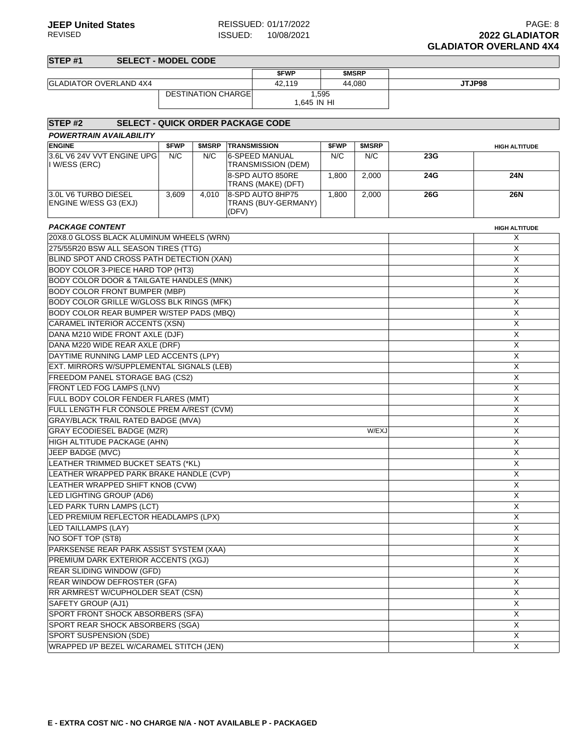| STEP <sub>#1</sub>                                             | <b>SELECT - MODEL CODE</b> |                           |       |                                         |       |              |     |                      |  |  |
|----------------------------------------------------------------|----------------------------|---------------------------|-------|-----------------------------------------|-------|--------------|-----|----------------------|--|--|
|                                                                |                            |                           |       | \$FWP                                   |       | <b>SMSRP</b> |     |                      |  |  |
| <b>GLADIATOR OVERLAND 4X4</b>                                  |                            |                           |       | 42.119                                  |       | 44.080       |     | JTJP98               |  |  |
|                                                                |                            | <b>DESTINATION CHARGE</b> |       | 1,595                                   |       |              |     |                      |  |  |
|                                                                |                            |                           |       | 1,645 IN HI                             |       |              |     |                      |  |  |
|                                                                |                            |                           |       |                                         |       |              |     |                      |  |  |
| STEP <sub>#2</sub><br><b>SELECT - QUICK ORDER PACKAGE CODE</b> |                            |                           |       |                                         |       |              |     |                      |  |  |
| <b>POWERTRAIN AVAILABILITY</b>                                 |                            |                           |       |                                         |       |              |     |                      |  |  |
| <b>ENGINE</b>                                                  | \$FWP                      | \$MSRP                    |       | <b>TRANSMISSION</b>                     | \$FWP | \$MSRP       |     | <b>HIGH ALTITUDE</b> |  |  |
| 3.6L V6 24V VVT ENGINE UPG<br>I W/ESS (ERC)                    | N/C                        | N/C                       |       | 6-SPEED MANUAL<br>TRANSMISSION (DEM)    | N/C   | N/C          | 23G |                      |  |  |
|                                                                |                            |                           |       | 8-SPD AUTO 850RE<br>TRANS (MAKE) (DFT)  | 1,800 | 2,000        | 24G | 24N                  |  |  |
| 3.0L V6 TURBO DIESEL<br>ENGINE W/ESS G3 (EXJ)                  | 3,609                      | 4,010                     | (DFV) | 8-SPD AUTO 8HP75<br>TRANS (BUY-GERMANY) | 1,800 | 2,000        | 26G | <b>26N</b>           |  |  |
| <b>PACKAGE CONTENT</b>                                         |                            |                           |       |                                         |       |              |     | <b>HIGH ALTITUDE</b> |  |  |
| 20X8.0 GLOSS BLACK ALUMINUM WHEELS (WRN)                       |                            |                           |       |                                         |       |              |     | Χ                    |  |  |
| 275/55R20 BSW ALL SEASON TIRES (TTG)                           |                            |                           |       |                                         |       |              |     | X                    |  |  |
| BLIND SPOT AND CROSS PATH DETECTION (XAN)                      |                            |                           |       |                                         |       |              |     | X                    |  |  |
| BODY COLOR 3-PIECE HARD TOP (HT3)                              |                            |                           |       |                                         |       |              |     | X                    |  |  |
| <b>BODY COLOR DOOR &amp; TAILGATE HANDLES (MNK)</b>            |                            |                           |       |                                         |       |              |     | X                    |  |  |
| <b>BODY COLOR FRONT BUMPER (MBP)</b>                           |                            |                           |       |                                         |       |              |     | X                    |  |  |
| BODY COLOR GRILLE W/GLOSS BLK RINGS (MFK)                      |                            |                           |       |                                         |       |              |     | X                    |  |  |
| <b>BODY COLOR REAR BUMPER W/STEP PADS (MBQ)</b>                |                            |                           |       |                                         |       |              |     | X                    |  |  |
| CARAMEL INTERIOR ACCENTS (XSN)                                 | $\overline{X}$             |                           |       |                                         |       |              |     |                      |  |  |
| DANA M210 WIDE FRONT AXLE (DJF)                                | X                          |                           |       |                                         |       |              |     |                      |  |  |
| DANA M220 WIDE REAR AXLE (DRF)                                 | X                          |                           |       |                                         |       |              |     |                      |  |  |
| DAYTIME RUNNING LAMP LED ACCENTS (LPY)                         | X                          |                           |       |                                         |       |              |     |                      |  |  |
| <b>EXT. MIRRORS W/SUPPLEMENTAL SIGNALS (LEB)</b>               |                            |                           |       |                                         |       |              |     | X                    |  |  |
| <b>FREEDOM PANEL STORAGE BAG (CS2)</b>                         |                            |                           |       |                                         |       |              |     | X                    |  |  |
| FRONT LED FOG LAMPS (LNV)                                      |                            |                           |       |                                         |       |              |     | X                    |  |  |
| FULL BODY COLOR FENDER FLARES (MMT)                            |                            |                           |       |                                         |       |              |     | X                    |  |  |
| FULL LENGTH FLR CONSOLE PREM A/REST (CVM)                      |                            |                           |       |                                         |       |              |     | X                    |  |  |
| GRAY/BLACK TRAIL RATED BADGE (MVA)                             |                            |                           |       |                                         |       |              |     | $\overline{X}$       |  |  |
| <b>GRAY ECODIESEL BADGE (MZR)</b>                              |                            |                           |       |                                         |       | W/EXJ        |     | X                    |  |  |
| HIGH ALTITUDE PACKAGE (AHN)                                    |                            |                           |       |                                         |       |              |     | X                    |  |  |
| JEEP BADGE (MVC)                                               |                            |                           |       |                                         |       |              |     | X                    |  |  |
| LEATHER TRIMMED BUCKET SEATS (*KL)                             |                            |                           |       |                                         |       |              |     | X                    |  |  |
| LEATHER WRAPPED PARK BRAKE HANDLE (CVP)                        |                            |                           |       |                                         |       |              |     | X                    |  |  |
| LEATHER WRAPPED SHIFT KNOB (CVW)                               |                            |                           |       |                                         |       |              |     | X                    |  |  |
| LED LIGHTING GROUP (AD6)                                       |                            |                           |       |                                         |       |              |     | X                    |  |  |
| LED PARK TURN LAMPS (LCT)                                      |                            |                           |       |                                         |       |              |     | X                    |  |  |
| LED PREMIUM REFLECTOR HEADLAMPS (LPX)                          |                            |                           |       |                                         |       |              |     | X                    |  |  |
| <b>LED TAILLAMPS (LAY)</b>                                     |                            |                           |       |                                         |       |              |     | X                    |  |  |
| NO SOFT TOP (ST8)                                              |                            |                           |       |                                         |       |              |     | X                    |  |  |
| PARKSENSE REAR PARK ASSIST SYSTEM (XAA)                        |                            |                           |       |                                         |       |              |     | X                    |  |  |
| PREMIUM DARK EXTERIOR ACCENTS (XGJ)                            |                            |                           |       |                                         |       |              |     | X                    |  |  |
| <b>REAR SLIDING WINDOW (GFD)</b>                               |                            |                           |       |                                         |       |              |     | X                    |  |  |
| REAR WINDOW DEFROSTER (GFA)                                    |                            |                           |       |                                         |       |              |     | X                    |  |  |
| RR ARMREST W/CUPHOLDER SEAT (CSN)                              |                            |                           |       |                                         |       |              |     | X                    |  |  |
| SAFETY GROUP (AJ1)                                             |                            |                           |       |                                         |       |              |     | X                    |  |  |
| SPORT FRONT SHOCK ABSORBERS (SFA)                              |                            |                           |       |                                         |       |              |     | X                    |  |  |
| SPORT REAR SHOCK ABSORBERS (SGA)                               |                            |                           |       |                                         |       |              |     | X                    |  |  |
| SPORT SUSPENSION (SDE)                                         |                            |                           |       |                                         |       |              |     | X                    |  |  |
| WRAPPED I/P BEZEL W/CARAMEL STITCH (JEN)                       |                            |                           |       |                                         |       |              |     | X                    |  |  |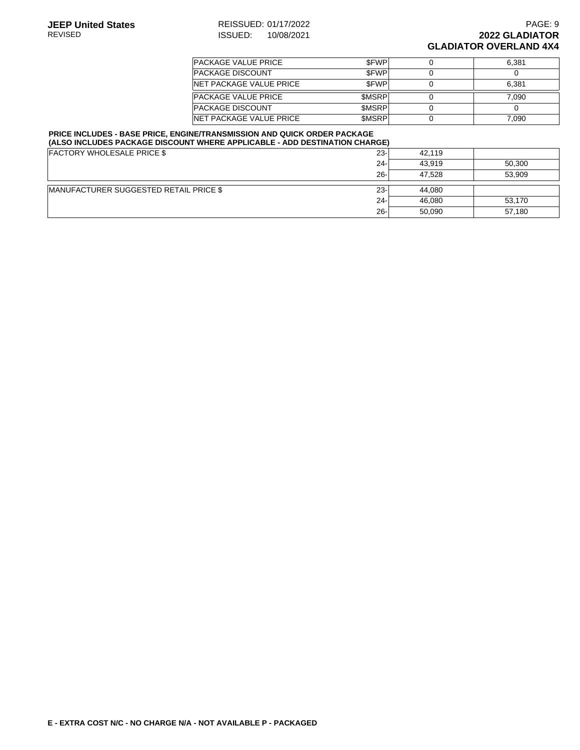| <b>PACKAGE VALUE PRICE</b>      | <b>SFWP</b>  | 6.381 |
|---------------------------------|--------------|-------|
| <b>PACKAGE DISCOUNT</b>         | <b>SFWP</b>  |       |
| <b>INET PACKAGE VALUE PRICE</b> | <b>SFWP</b>  | 6.381 |
| <b>PACKAGE VALUE PRICE</b>      | <b>SMSRP</b> | 7.090 |
| <b>PACKAGE DISCOUNT</b>         | <b>SMSRP</b> |       |
| <b>INET PACKAGE VALUE PRICE</b> | <b>SMSRP</b> | 7.090 |

#### **PRICE INCLUDES - BASE PRICE, ENGINE/TRANSMISSION AND QUICK ORDER PACKAGE (ALSO INCLUDES PACKAGE DISCOUNT WHERE APPLICABLE - ADD DESTINATION CHARGE)**

| <b>FACTORY WHOLESALE PRICE \$</b>      | $23 -$ | 42.119 |        |
|----------------------------------------|--------|--------|--------|
|                                        | $24 -$ | 43.919 | 50,300 |
|                                        | $26 -$ | 47.528 | 53.909 |
| MANUFACTURER SUGGESTED RETAIL PRICE \$ | $23 -$ | 44.080 |        |
|                                        | $24 -$ | 46,080 | 53,170 |
|                                        | $26 -$ | 50.090 | 57,180 |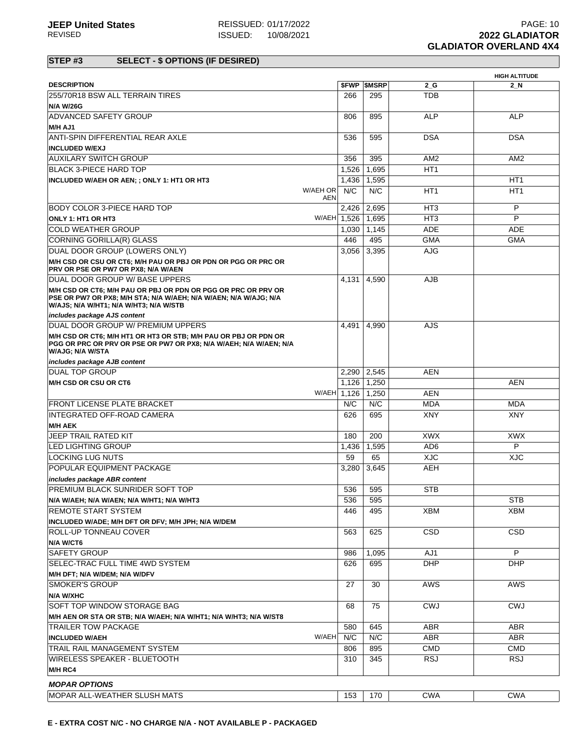|                                                                                                                                                                             |              |                          |                 | <b>HIGH ALTITUDE</b> |
|-----------------------------------------------------------------------------------------------------------------------------------------------------------------------------|--------------|--------------------------|-----------------|----------------------|
| <b>DESCRIPTION</b>                                                                                                                                                          |              | <b><i>SFWP SMSRP</i></b> | 2 G             | 2 N                  |
| 255/70R18 BSW ALL TERRAIN TIRES                                                                                                                                             | 266          | 295                      | <b>TDB</b>      |                      |
| <b>N/A W/26G</b>                                                                                                                                                            |              |                          |                 |                      |
| <b>ADVANCED SAFETY GROUP</b>                                                                                                                                                | 806          | 895                      | <b>ALP</b>      | <b>ALP</b>           |
| M/H AJ1                                                                                                                                                                     |              |                          |                 |                      |
| ANTI-SPIN DIFFERENTIAL REAR AXLE                                                                                                                                            | 536          | 595                      | <b>DSA</b>      | <b>DSA</b>           |
| <b>INCLUDED W/EXJ</b>                                                                                                                                                       |              |                          |                 |                      |
| AUXILARY SWITCH GROUP                                                                                                                                                       | 356          | 395                      | AM <sub>2</sub> | AM <sub>2</sub>      |
| BLACK 3-PIECE HARD TOP                                                                                                                                                      | 1,526        | 1,695                    | HT <sub>1</sub> |                      |
| INCLUDED W/AEH OR AEN; ; ONLY 1: HT1 OR HT3                                                                                                                                 | 1,436        | 1,595                    |                 | HT <sub>1</sub>      |
| W/AEH OR                                                                                                                                                                    | N/C          | N/C                      | HT <sub>1</sub> | HT <sub>1</sub>      |
|                                                                                                                                                                             | <b>AEN</b>   |                          |                 |                      |
| <b>BODY COLOR 3-PIECE HARD TOP</b>                                                                                                                                          | 2,426        | 2,695                    | HT <sub>3</sub> | P                    |
| <b>ONLY 1: HT1 OR HT3</b>                                                                                                                                                   | W/AEH 1.526  | 1,695                    | HT <sub>3</sub> | P                    |
| <b>COLD WEATHER GROUP</b>                                                                                                                                                   | 1,030        | 1,145                    | <b>ADE</b>      | ADE                  |
| CORNING GORILLA(R) GLASS                                                                                                                                                    | 446          | 495                      | <b>GMA</b>      | <b>GMA</b>           |
| DUAL DOOR GROUP (LOWERS ONLY)                                                                                                                                               | 3,056        | 3,395                    | AJG             |                      |
| M/H CSD OR CSU OR CT6; M/H PAU OR PBJ OR PDN OR PGG OR PRC OR                                                                                                               |              |                          |                 |                      |
| PRV OR PSE OR PW7 OR PX8; N/A W/AEN                                                                                                                                         |              |                          |                 |                      |
| DUAL DOOR GROUP W/ BASE UPPERS                                                                                                                                              | 4,131        | 4,590                    | <b>AJB</b>      |                      |
| M/H CSD OR CT6: M/H PAU OR PBJ OR PDN OR PGG OR PRC OR PRV OR<br>PSE OR PW7 OR PX8: M/H STA: N/A W/AEH: N/A W/AEN: N/A W/AJG: N/A<br>W/AJS; N/A W/HT1; N/A W/HT3; N/A W/STB |              |                          |                 |                      |
| includes package AJS content                                                                                                                                                |              |                          |                 |                      |
| DUAL DOOR GROUP W/ PREMIUM UPPERS                                                                                                                                           | 4.491        | 4,990                    | AJS             |                      |
| M/H CSD OR CT6; M/H HT1 OR HT3 OR STB; M/H PAU OR PBJ OR PDN OR<br>PGG OR PRC OR PRV OR PSE OR PW7 OR PX8; N/A W/AEH; N/A W/AEN; N/A<br>W/AJG; N/A W/STA                    |              |                          |                 |                      |
| includes package AJB content                                                                                                                                                |              |                          |                 |                      |
| <b>DUAL TOP GROUP</b>                                                                                                                                                       | 2,290        | 2,545                    | <b>AEN</b>      |                      |
| M/H CSD OR CSU OR CT6                                                                                                                                                       | 1,126        | 1,250                    |                 | <b>AEN</b>           |
|                                                                                                                                                                             | W/AEH 1,126  | 1,250                    | <b>AEN</b>      |                      |
| IFRONT LICENSE PLATE BRACKET                                                                                                                                                | N/C          | N/C                      | <b>MDA</b>      | MDA                  |
| IINTEGRATED OFF-ROAD CAMERA                                                                                                                                                 | 626          | 695                      | <b>XNY</b>      | <b>XNY</b>           |
| <b>M/H AEK</b>                                                                                                                                                              |              |                          |                 |                      |
| JEEP TRAIL RATED KIT                                                                                                                                                        | 180          | 200                      | <b>XWX</b>      | <b>XWX</b>           |
| ILED LIGHTING GROUP                                                                                                                                                         | 1,436        | 1,595                    | AD6             | P                    |
| ILOCKING LUG NUTS                                                                                                                                                           | 59           | 65                       | <b>XJC</b>      | <b>XJC</b>           |
| POPULAR EQUIPMENT PACKAGE                                                                                                                                                   | 3.280        | 3,645                    | AEH             |                      |
|                                                                                                                                                                             |              |                          |                 |                      |
| includes package ABR content<br><b>PREMIUM BLACK SUNRIDER SOFT TOP</b>                                                                                                      |              |                          | <b>STB</b>      |                      |
|                                                                                                                                                                             | 536          | 595                      |                 | <b>STB</b>           |
| IN/A W/AEH; N/A W/AEN; N/A W/HT1; N/A W/HT3                                                                                                                                 | 536          | 595                      |                 |                      |
| <b>REMOTE START SYSTEM</b>                                                                                                                                                  | 446          | 495                      | <b>XBM</b>      | XBM                  |
| INCLUDED W/ADE; M/H DFT OR DFV; M/H JPH; N/A W/DEM<br><b>ROLL-UP TONNEAU COVER</b>                                                                                          |              |                          |                 |                      |
|                                                                                                                                                                             | 563          | 625                      | CSD             | <b>CSD</b>           |
| N/A W/CT6                                                                                                                                                                   |              |                          |                 |                      |
| <b>SAFETY GROUP</b>                                                                                                                                                         | 986          | 1,095                    | AJ1             | P                    |
| SELEC-TRAC FULL TIME 4WD SYSTEM                                                                                                                                             | 626          | 695                      | <b>DHP</b>      | <b>DHP</b>           |
| M/H DFT; N/A W/DEM; N/A W/DFV                                                                                                                                               |              |                          |                 |                      |
| <b>SMOKER'S GROUP</b>                                                                                                                                                       | 27           | 30                       | AWS             | <b>AWS</b>           |
| N/A W/XHC                                                                                                                                                                   |              |                          |                 |                      |
| SOFT TOP WINDOW STORAGE BAG                                                                                                                                                 | 68           | 75                       | <b>CWJ</b>      | <b>CWJ</b>           |
| M/H AEN OR STA OR STB; N/A W/AEH; N/A W/HT1; N/A W/HT3; N/A W/ST8                                                                                                           |              |                          |                 |                      |
| <b>TRAILER TOW PACKAGE</b>                                                                                                                                                  | 580          | 645                      | ABR             | ABR                  |
| <b>INCLUDED W/AEH</b>                                                                                                                                                       | W/AEH<br>N/C | N/C                      | <b>ABR</b>      | <b>ABR</b>           |
| TRAIL RAIL MANAGEMENT SYSTEM                                                                                                                                                | 806          | 895                      | <b>CMD</b>      | CMD                  |
| WIRELESS SPEAKER - BLUETOOTH                                                                                                                                                | 310          | 345                      | <b>RSJ</b>      | <b>RSJ</b>           |
| M/H RC4                                                                                                                                                                     |              |                          |                 |                      |
| <b>MOPAR OPTIONS</b>                                                                                                                                                        |              |                          |                 |                      |
| MOPAR ALL-WEATHER SLUSH MATS                                                                                                                                                | 153          | 170                      | <b>CWA</b>      | <b>CWA</b>           |
|                                                                                                                                                                             |              |                          |                 |                      |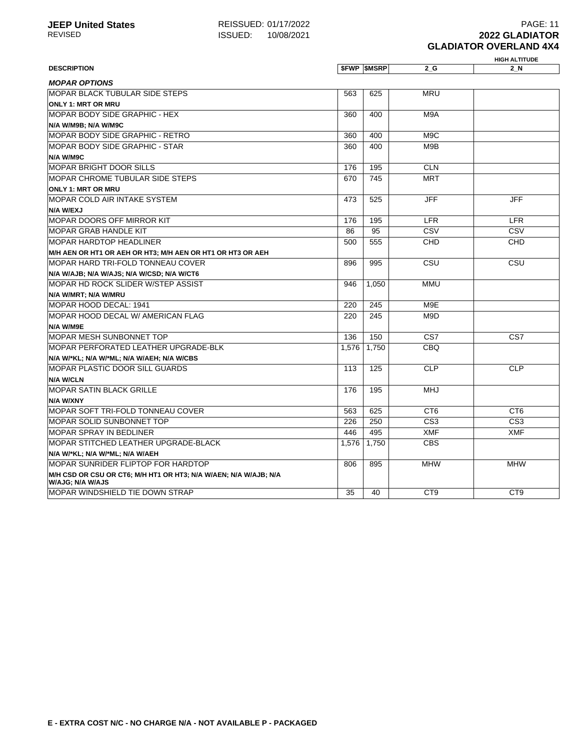# **ISSUED: 10/08/2021**

|                                                                                      |       |                     |                  | <b>HIGH ALTITUDE</b> |
|--------------------------------------------------------------------------------------|-------|---------------------|------------------|----------------------|
| <b>DESCRIPTION</b>                                                                   |       | <b>\$FWP \$MSRP</b> | 2 G              | 2 N                  |
| <b>MOPAR OPTIONS</b>                                                                 |       |                     |                  |                      |
| <b>MOPAR BLACK TUBULAR SIDE STEPS</b>                                                | 563   | 625                 | <b>MRU</b>       |                      |
| <b>ONLY 1: MRT OR MRU</b>                                                            |       |                     |                  |                      |
| <b>MOPAR BODY SIDE GRAPHIC - HEX</b>                                                 | 360   | 400                 | M9A              |                      |
| N/A W/M9B; N/A W/M9C                                                                 |       |                     |                  |                      |
| MOPAR BODY SIDE GRAPHIC - RETRO                                                      | 360   | 400                 | M <sub>9</sub> C |                      |
| MOPAR BODY SIDE GRAPHIC - STAR                                                       | 360   | 400                 | M9B              |                      |
| N/A W/M9C                                                                            |       |                     |                  |                      |
| MOPAR BRIGHT DOOR SILLS                                                              | 176   | 195                 | <b>CLN</b>       |                      |
| <b>MOPAR CHROME TUBULAR SIDE STEPS</b>                                               | 670   | 745                 | <b>MRT</b>       |                      |
| <b>ONLY 1: MRT OR MRU</b>                                                            |       |                     |                  |                      |
| <b>MOPAR COLD AIR INTAKE SYSTEM</b>                                                  | 473   | 525                 | <b>JFF</b>       | <b>JFF</b>           |
| <b>N/A W/EXJ</b>                                                                     |       |                     |                  |                      |
| <b>MOPAR DOORS OFF MIRROR KIT</b>                                                    | 176   | 195                 | <b>LFR</b>       | <b>LFR</b>           |
| <b>MOPAR GRAB HANDLE KIT</b>                                                         | 86    | 95                  | CSV              | CSV                  |
| <b>MOPAR HARDTOP HEADLINER</b>                                                       | 500   | 555                 | <b>CHD</b>       | <b>CHD</b>           |
| M/H AEN OR HT1 OR AEH OR HT3; M/H AEN OR HT1 OR HT3 OR AEH                           |       |                     |                  |                      |
| IMOPAR HARD TRI-FOLD TONNEAU COVER                                                   | 896   | 995                 | CSU              | CSU                  |
| N/A W/AJB; N/A W/AJS; N/A W/CSD; N/A W/CT6                                           |       |                     |                  |                      |
| MOPAR HD ROCK SLIDER W/STEP ASSIST                                                   | 946   | 1.050               | MMU              |                      |
| N/A W/MRT; N/A W/MRU                                                                 |       |                     |                  |                      |
| MOPAR HOOD DECAL: 1941                                                               | 220   | 245                 | M9E              |                      |
| MOPAR HOOD DECAL W/ AMERICAN FLAG                                                    | 220   | 245                 | M9D              |                      |
| N/A W/M9E                                                                            |       |                     |                  |                      |
| <b>MOPAR MESH SUNBONNET TOP</b>                                                      | 136   | 150                 | CS7              | CS7                  |
| MOPAR PERFORATED LEATHER UPGRADE-BLK                                                 | 1,576 | 1,750               | <b>CBQ</b>       |                      |
| N/A W/*KL; N/A W/*ML; N/A W/AEH; N/A W/CBS                                           |       |                     |                  |                      |
| <b>MOPAR PLASTIC DOOR SILL GUARDS</b>                                                | 113   | 125                 | <b>CLP</b>       | <b>CLP</b>           |
| <b>N/A W/CLN</b>                                                                     |       |                     |                  |                      |
| <b>MOPAR SATIN BLACK GRILLE</b>                                                      | 176   | 195                 | <b>MHJ</b>       |                      |
| N/A W/XNY                                                                            |       |                     |                  |                      |
| MOPAR SOFT TRI-FOLD TONNEAU COVER                                                    | 563   | 625                 | CT <sub>6</sub>  | CT <sub>6</sub>      |
| <b>MOPAR SOLID SUNBONNET TOP</b>                                                     | 226   | 250                 | CS <sub>3</sub>  | CS <sub>3</sub>      |
| <b>MOPAR SPRAY IN BEDLINER</b>                                                       | 446   | 495                 | <b>XMF</b>       | <b>XMF</b>           |
| MOPAR STITCHED LEATHER UPGRADE-BLACK                                                 | 1,576 | 1,750               | <b>CBS</b>       |                      |
| N/A W/*KL; N/A W/*ML; N/A W/AEH                                                      |       |                     |                  |                      |
| IMOPAR SUNRIDER FLIPTOP FOR HARDTOP                                                  | 806   | 895                 | <b>MHW</b>       | <b>MHW</b>           |
| M/H CSD OR CSU OR CT6; M/H HT1 OR HT3; N/A W/AEN; N/A W/AJB; N/A<br>W/AJG; N/A W/AJS |       |                     |                  |                      |
| IMOPAR WINDSHIELD TIE DOWN STRAP                                                     | 35    | 40                  | CT <sub>9</sub>  | CT <sub>9</sub>      |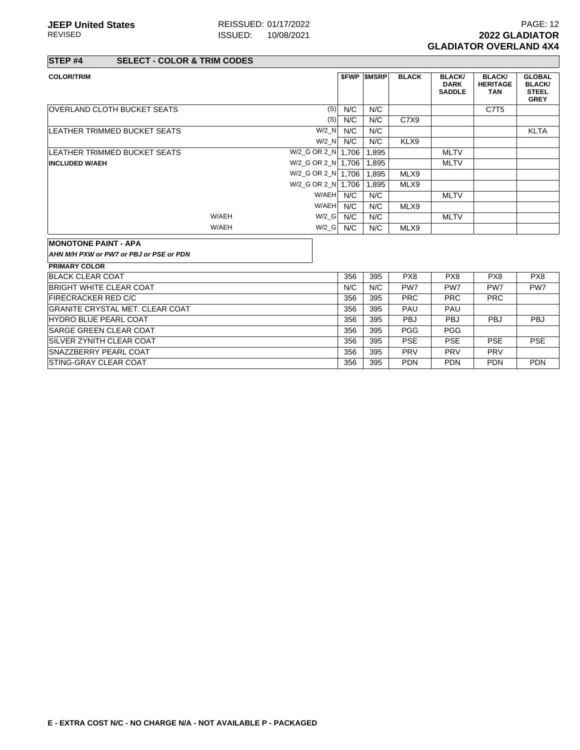**STEP #4 SELECT - COLOR & TRIM CODES**

| <b>COLOR/TRIM</b>                       |       |                      |            | <b><i>SFWP SMSRP</i></b> | <b>BLACK</b>    | <b>BLACK/</b><br><b>DARK</b><br><b>SADDLE</b> | <b>BLACK/</b><br><b>HERITAGE</b><br><b>TAN</b> | <b>GLOBAL</b><br><b>BLACK/</b><br><b>STEEL</b><br><b>GREY</b> |
|-----------------------------------------|-------|----------------------|------------|--------------------------|-----------------|-----------------------------------------------|------------------------------------------------|---------------------------------------------------------------|
| <b>OVERLAND CLOTH BUCKET SEATS</b>      |       |                      | (S)<br>N/C | N/C                      |                 |                                               | C7T <sub>5</sub>                               |                                                               |
|                                         |       |                      | N/C<br>(S) | N/C                      | C7X9            |                                               |                                                |                                                               |
| LEATHER TRIMMED BUCKET SEATS            |       | W/2 N                | N/C        | N/C                      |                 |                                               |                                                | <b>KLTA</b>                                                   |
|                                         |       | $W/2$ N              | N/C        | N/C                      | KLX9            |                                               |                                                |                                                               |
| LEATHER TRIMMED BUCKET SEATS            |       | W/2_G OR 2_N   1.706 |            | 1,895                    |                 | <b>MLTV</b>                                   |                                                |                                                               |
| <b>INCLUDED W/AEH</b>                   |       | W/2_G OR 2_N 1.706   |            | 1.895                    |                 | <b>MLTV</b>                                   |                                                |                                                               |
|                                         |       | W/2_G OR 2_N 1,706   |            | 1.895                    | MLX9            |                                               |                                                |                                                               |
|                                         |       | W/2_G OR 2_N 1.706   |            | 1,895                    | MLX9            |                                               |                                                |                                                               |
|                                         |       |                      | W/AEH N/C  | N/C                      |                 | <b>MLTV</b>                                   |                                                |                                                               |
|                                         |       | W/AEH                | N/C        | N/C                      | MLX9            |                                               |                                                |                                                               |
|                                         | W/AEH | $W/2_G$              | N/C        | N/C                      |                 | <b>MLTV</b>                                   |                                                |                                                               |
|                                         | W/AEH | $W/2_G$              | N/C        | N/C                      | MLX9            |                                               |                                                |                                                               |
| <b>MONOTONE PAINT - APA</b>             |       |                      |            |                          |                 |                                               |                                                |                                                               |
| AHN M/H PXW or PW7 or PBJ or PSE or PDN |       |                      |            |                          |                 |                                               |                                                |                                                               |
| <b>PRIMARY COLOR</b>                    |       |                      |            |                          |                 |                                               |                                                |                                                               |
| <b>BLACK CLEAR COAT</b>                 |       |                      | 356        | 395                      | PX <sub>8</sub> | PX <sub>8</sub>                               | PX8                                            | PX8                                                           |
| BRIGHT WHITE CLEAR COAT                 |       |                      | N/C        | N/C                      | PW7             | PW7                                           | PW7                                            | PW7                                                           |
| FIRECRACKER RED C/C                     |       |                      | 356        | 395                      | <b>PRC</b>      | <b>PRC</b>                                    | <b>PRC</b>                                     |                                                               |
| GRANITE CRYSTAL MET. CLEAR COAT         |       |                      | 356        | 395                      | PAU             | PAU                                           |                                                |                                                               |
| HYDRO BLUE PEARL COAT                   |       |                      | 356        | 395                      | <b>PBJ</b>      | <b>PBJ</b>                                    | <b>PBJ</b>                                     | <b>PBJ</b>                                                    |
| <b>SARGE GREEN CLEAR COAT</b>           |       |                      | 356        | 395                      | <b>PGG</b>      | <b>PGG</b>                                    |                                                |                                                               |
| <b>SILVER ZYNITH CLEAR COAT</b>         |       |                      | 356        | 395                      | <b>PSE</b>      | <b>PSE</b>                                    | <b>PSE</b>                                     | <b>PSE</b>                                                    |
| <b>SNAZZBERRY PEARL COAT</b>            |       |                      | 356        | 395                      | <b>PRV</b>      | <b>PRV</b>                                    | <b>PRV</b>                                     |                                                               |
| <b>ISTING-GRAY CLEAR COAT</b>           |       |                      | 356        | 395                      | <b>PDN</b>      | <b>PDN</b>                                    | <b>PDN</b>                                     | <b>PDN</b>                                                    |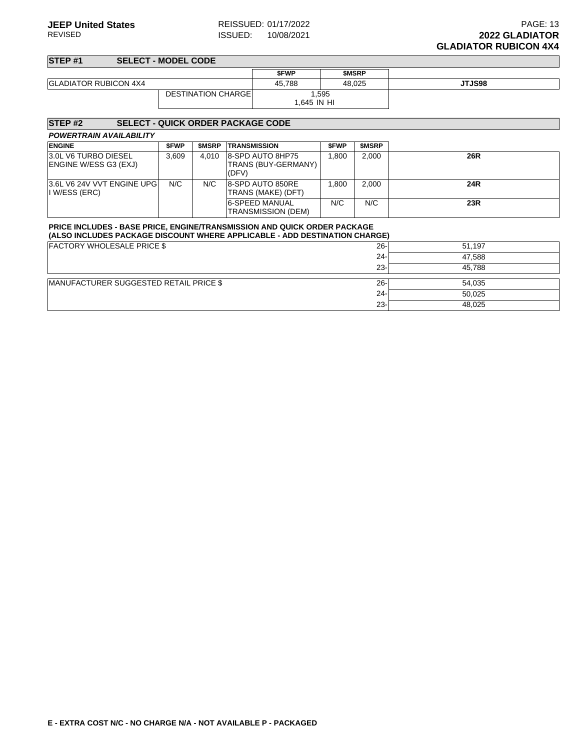#### **STEP #1 SELECT - MODEL CODE \$FWP \$MSRP** GLADIATOR RUBICON 4X4 **45,788** 48,025 **JTJS98** DESTINATION CHARGE 1,595 1,645 IN HI

| <b>STEP#2</b>                                                                                                                                                 |       |              | <b>SELECT - QUICK ORDER PACKAGE CODE</b>         |             |              |        |
|---------------------------------------------------------------------------------------------------------------------------------------------------------------|-------|--------------|--------------------------------------------------|-------------|--------------|--------|
| <b>POWERTRAIN AVAILABILITY</b>                                                                                                                                |       |              |                                                  |             |              |        |
| <b>ENGINE</b>                                                                                                                                                 | \$FWP | <b>SMSRP</b> | <b>TRANSMISSION</b>                              | <b>SFWP</b> | <b>SMSRP</b> |        |
| 3.0L V6 TURBO DIESEL<br>ENGINE W/ESS G3 (EXJ)                                                                                                                 | 3,609 | 4.010        | 8-SPD AUTO 8HP75<br>TRANS (BUY-GERMANY)<br>(DFV) | 1.800       | 2,000        | 26R    |
| 3.6L V6 24V VVT ENGINE UPG<br>I W/ESS (ERC)                                                                                                                   | N/C   | N/C          | 8-SPD AUTO 850RE<br>TRANS (MAKE) (DFT)           | 1.800       | 2.000        | 24R    |
|                                                                                                                                                               |       |              | 6-SPEED MANUAL<br><b>TRANSMISSION (DEM)</b>      | N/C         | N/C          | 23R    |
| <b>PRICE INCLUDES - BASE PRICE, ENGINE/TRANSMISSION AND QUICK ORDER PACKAGE</b><br>(ALSO INCLUDES PACKAGE DISCOUNT WHERE APPLICABLE - ADD DESTINATION CHARGE) |       |              |                                                  |             |              |        |
| <b>FACTORY WHOLESALE PRICE \$</b>                                                                                                                             |       |              |                                                  |             | $26 -$       | 51,197 |
|                                                                                                                                                               |       |              |                                                  |             | $24 -$       | 47,588 |
|                                                                                                                                                               |       |              |                                                  |             | $23 -$       | 45.788 |
| MANUFACTURER SUGGESTED RETAIL PRICE \$                                                                                                                        |       |              |                                                  |             | $26 -$       | 54,035 |
|                                                                                                                                                               |       |              |                                                  |             | $24 -$       | 50,025 |
|                                                                                                                                                               |       |              |                                                  |             | $23 -$       | 48,025 |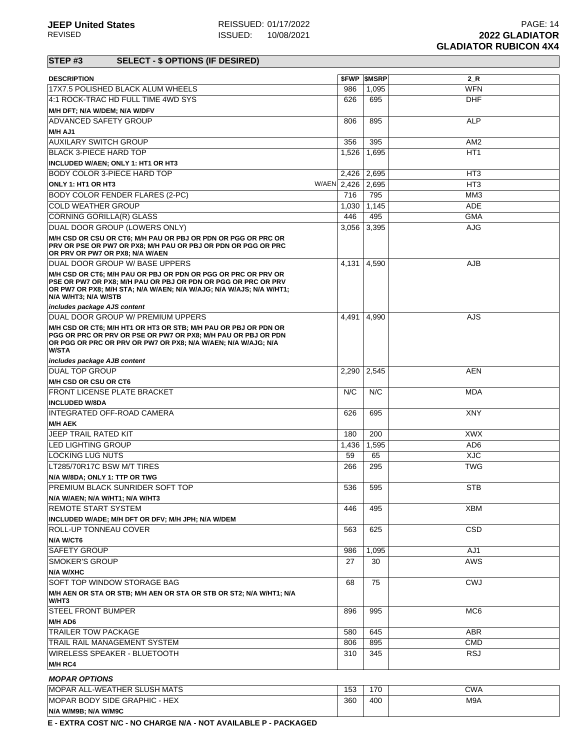| <b>DESCRIPTION</b>                                                                                                                                                                                                                                            |             | <b><i>SFWP SMSRP</i></b> | $2_R$           |
|---------------------------------------------------------------------------------------------------------------------------------------------------------------------------------------------------------------------------------------------------------------|-------------|--------------------------|-----------------|
| 17X7.5 POLISHED BLACK ALUM WHEELS                                                                                                                                                                                                                             | 986         | 1,095                    | <b>WFN</b>      |
| 4:1 ROCK-TRAC HD FULL TIME 4WD SYS                                                                                                                                                                                                                            | 626         | 695                      | <b>DHF</b>      |
| M/H DFT; N/A W/DEM; N/A W/DFV                                                                                                                                                                                                                                 |             |                          |                 |
| <b>ADVANCED SAFETY GROUP</b>                                                                                                                                                                                                                                  | 806         | 895                      | <b>ALP</b>      |
| M/H AJ1                                                                                                                                                                                                                                                       |             |                          |                 |
| <b>AUXILARY SWITCH GROUP</b>                                                                                                                                                                                                                                  | 356         | 395                      | AM <sub>2</sub> |
| BLACK 3-PIECE HARD TOP                                                                                                                                                                                                                                        | 1,526       | 1,695                    | HT <sub>1</sub> |
| INCLUDED W/AEN; ONLY 1: HT1 OR HT3                                                                                                                                                                                                                            |             |                          |                 |
| <b>BODY COLOR 3-PIECE HARD TOP</b>                                                                                                                                                                                                                            | 2,426       | 2,695                    | HT <sub>3</sub> |
| ONLY 1: HT1 OR HT3                                                                                                                                                                                                                                            | W/AEN 2,426 | 2,695                    | HT <sub>3</sub> |
| <b>BODY COLOR FENDER FLARES (2-PC)</b>                                                                                                                                                                                                                        | 716         | 795                      | MM <sub>3</sub> |
| <b>COLD WEATHER GROUP</b>                                                                                                                                                                                                                                     | 1,030       | 1,145                    | <b>ADE</b>      |
| CORNING GORILLA(R) GLASS                                                                                                                                                                                                                                      | 446         | 495                      | <b>GMA</b>      |
| DUAL DOOR GROUP (LOWERS ONLY)                                                                                                                                                                                                                                 | 3,056       | 3,395                    | <b>AJG</b>      |
| M/H CSD OR CSU OR CT6; M/H PAU OR PBJ OR PDN OR PGG OR PRC OR<br>PRV OR PSE OR PW7 OR PX8; M/H PAU OR PBJ OR PDN OR PGG OR PRC<br>OR PRV OR PW7 OR PX8; N/A W/AEN                                                                                             |             |                          |                 |
| DUAL DOOR GROUP W/ BASE UPPERS                                                                                                                                                                                                                                | 4,131       | 4,590                    | <b>AJB</b>      |
| M/H CSD OR CT6; M/H PAU OR PBJ OR PDN OR PGG OR PRC OR PRV OR<br>PSE OR PW7 OR PX8; M/H PAU OR PBJ OR PDN OR PGG OR PRC OR PRV<br>OR PW7 OR PX8; M/H STA; N/A W/AEN; N/A W/AJG; N/A W/AJS; N/A W/HT1;<br>N/A W/HT3; N/A W/STB<br>includes package AJS content |             |                          |                 |
| DUAL DOOR GROUP W/ PREMIUM UPPERS                                                                                                                                                                                                                             | 4,491       | 4,990                    | AJS             |
| M/H CSD OR CT6; M/H HT1 OR HT3 OR STB; M/H PAU OR PBJ OR PDN OR<br>PGG OR PRC OR PRV OR PSE OR PW7 OR PX8; M/H PAU OR PBJ OR PDN<br>OR PGG OR PRC OR PRV OR PW7 OR PX8; N/A W/AEN; N/A W/AJG; N/A<br><b>W/STA</b>                                             |             |                          |                 |
| includes package AJB content                                                                                                                                                                                                                                  |             |                          |                 |
| <b>DUAL TOP GROUP</b>                                                                                                                                                                                                                                         | 2,290       | 2,545                    | AEN             |
| M/H CSD OR CSU OR CT6                                                                                                                                                                                                                                         |             |                          |                 |
| <b>FRONT LICENSE PLATE BRACKET</b>                                                                                                                                                                                                                            | N/C         | N/C                      | <b>MDA</b>      |
| <b>INCLUDED W/8DA</b>                                                                                                                                                                                                                                         |             |                          |                 |
| INTEGRATED OFF-ROAD CAMERA<br><b>M/H AEK</b>                                                                                                                                                                                                                  | 626         | 695                      | <b>XNY</b>      |
| <b>JEEP TRAIL RATED KIT</b>                                                                                                                                                                                                                                   | 180         | 200                      | <b>XWX</b>      |
| <b>LED LIGHTING GROUP</b>                                                                                                                                                                                                                                     | 1,436       | 1,595                    | AD <sub>6</sub> |
| <b>LOCKING LUG NUTS</b>                                                                                                                                                                                                                                       | 59          | 65                       | <b>XJC</b>      |
| LT285/70R17C BSW M/T TIRES                                                                                                                                                                                                                                    | 266         | 295                      | <b>TWG</b>      |
| N/A W/8DA; ONLY 1: TTP OR TWG                                                                                                                                                                                                                                 |             |                          |                 |
| PREMIUM BLACK SUNRIDER SOFT TOP                                                                                                                                                                                                                               | 536         | 595                      | <b>STB</b>      |
| N/A W/AEN; N/A W/HT1; N/A W/HT3                                                                                                                                                                                                                               |             |                          |                 |
| <b>REMOTE START SYSTEM</b>                                                                                                                                                                                                                                    | 446         | 495                      | <b>XBM</b>      |
| INCLUDED W/ADE; M/H DFT OR DFV; M/H JPH; N/A W/DEM                                                                                                                                                                                                            |             |                          |                 |
| <b>ROLL-UP TONNEAU COVER</b>                                                                                                                                                                                                                                  | 563         | 625                      | <b>CSD</b>      |
| N/A W/CT6                                                                                                                                                                                                                                                     |             |                          |                 |
| <b>SAFETY GROUP</b>                                                                                                                                                                                                                                           | 986         | 1,095                    | AJ1             |
| <b>SMOKER'S GROUP</b>                                                                                                                                                                                                                                         | 27          | 30                       | <b>AWS</b>      |
| N/A W/XHC                                                                                                                                                                                                                                                     |             |                          |                 |
| SOFT TOP WINDOW STORAGE BAG                                                                                                                                                                                                                                   | 68          | 75                       | <b>CWJ</b>      |
| M/H AEN OR STA OR STB; M/H AEN OR STA OR STB OR ST2; N/A W/HT1; N/A                                                                                                                                                                                           |             |                          |                 |
| W/HT3                                                                                                                                                                                                                                                         |             |                          |                 |
| <b>STEEL FRONT BUMPER</b>                                                                                                                                                                                                                                     | 896         | 995                      | MC <sub>6</sub> |
| M/H AD6                                                                                                                                                                                                                                                       |             |                          |                 |
| <b>TRAILER TOW PACKAGE</b>                                                                                                                                                                                                                                    | 580         | 645                      | <b>ABR</b>      |
| TRAIL RAIL MANAGEMENT SYSTEM                                                                                                                                                                                                                                  | 806         | 895                      | <b>CMD</b>      |
| WIRELESS SPEAKER - BLUETOOTH<br>M/H RC4                                                                                                                                                                                                                       | 310         | 345                      | <b>RSJ</b>      |
|                                                                                                                                                                                                                                                               |             |                          |                 |
| <b>MOPAR OPTIONS</b><br>MOPAR ALL-WEATHER SLUSH MATS                                                                                                                                                                                                          | 153         | 170                      | <b>CWA</b>      |
| <b>MOPAR BODY SIDE GRAPHIC - HEX</b>                                                                                                                                                                                                                          | 360         | 400                      | M9A             |
| N/A W/M9B; N/A W/M9C                                                                                                                                                                                                                                          |             |                          |                 |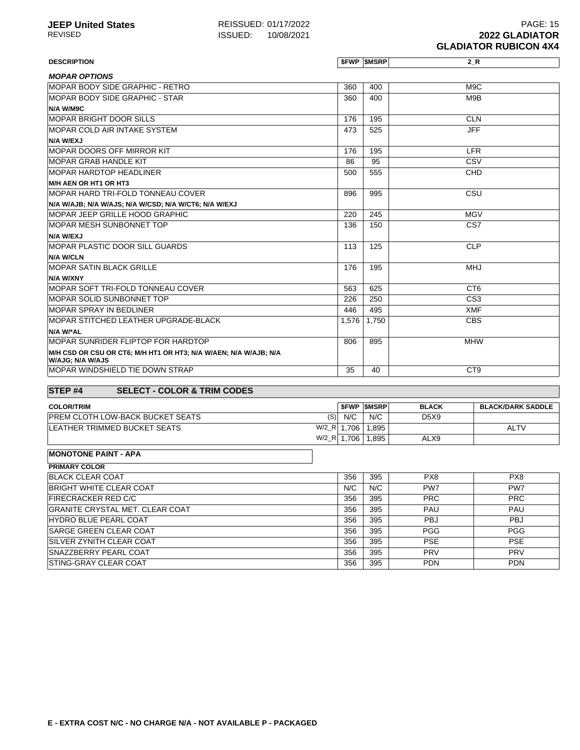| <b>DESCRIPTION</b>                                                                   |       | <b>\$FWP \$MSRP</b> | 2 R              |
|--------------------------------------------------------------------------------------|-------|---------------------|------------------|
| <b>MOPAR OPTIONS</b>                                                                 |       |                     |                  |
| MOPAR BODY SIDE GRAPHIC - RETRO                                                      | 360   | 400                 | M <sub>9</sub> C |
| MOPAR BODY SIDE GRAPHIC - STAR                                                       | 360   | 400                 | M9B              |
| N/A W/M9C                                                                            |       |                     |                  |
| <b>MOPAR BRIGHT DOOR SILLS</b>                                                       | 176   | 195                 | <b>CLN</b>       |
| <b>MOPAR COLD AIR INTAKE SYSTEM</b>                                                  | 473   | 525                 | <b>JFF</b>       |
| <b>N/A W/EXJ</b>                                                                     |       |                     |                  |
| <b>MOPAR DOORS OFF MIRROR KIT</b>                                                    | 176   | 195                 | <b>LFR</b>       |
| <b>MOPAR GRAB HANDLE KIT</b>                                                         | 86    | 95                  | CSV              |
| <b>MOPAR HARDTOP HEADLINER</b>                                                       | 500   | 555                 | CHD              |
| M/H AEN OR HT1 OR HT3                                                                |       |                     |                  |
| <b>MOPAR HARD TRI-FOLD TONNEAU COVER</b>                                             | 896   | 995                 | CSU              |
| N/A W/AJB; N/A W/AJS; N/A W/CSD; N/A W/CT6; N/A W/EXJ                                |       |                     |                  |
| MOPAR JEEP GRILLE HOOD GRAPHIC                                                       | 220   | 245                 | <b>MGV</b>       |
| <b>MOPAR MESH SUNBONNET TOP</b>                                                      | 136   | 150                 | CS7              |
| N/A W/EXJ                                                                            |       |                     |                  |
| <b>IMOPAR PLASTIC DOOR SILL GUARDS</b>                                               | 113   | 125                 | <b>CLP</b>       |
| <b>N/A W/CLN</b>                                                                     |       |                     |                  |
| <b>MOPAR SATIN BLACK GRILLE</b>                                                      | 176   | 195                 | <b>MHJ</b>       |
| N/A W/XNY                                                                            |       |                     |                  |
| MOPAR SOFT TRI-FOLD TONNEAU COVER                                                    | 563   | 625                 | CT <sub>6</sub>  |
| MOPAR SOLID SUNBONNET TOP                                                            | 226   | 250                 | CS <sub>3</sub>  |
| <b>MOPAR SPRAY IN BEDLINER</b>                                                       | 446   | 495                 | <b>XMF</b>       |
| MOPAR STITCHED LEATHER UPGRADE-BLACK                                                 | 1.576 | 1.750               | <b>CBS</b>       |
| N/A W/*AL                                                                            |       |                     |                  |
| MOPAR SUNRIDER FLIPTOP FOR HARDTOP                                                   | 806   | 895                 | <b>MHW</b>       |
| M/H CSD OR CSU OR CT6; M/H HT1 OR HT3; N/A W/AEN; N/A W/AJB; N/A<br>W/AJG; N/A W/AJS |       |                     |                  |
| <b>IMOPAR WINDSHIELD TIE DOWN STRAP</b>                                              | 35    | 40                  | CT <sub>9</sub>  |

## **STEP #4 SELECT - COLOR & TRIM CODES**

| <b>COLOR/TRIM</b>                       |            | <b>SFWP SMSRP</b> | <b>BLACK</b>                  | <b>BLACK/DARK SADDLE</b> |
|-----------------------------------------|------------|-------------------|-------------------------------|--------------------------|
| <b>PREM CLOTH LOW-BACK BUCKET SEATS</b> | N/C<br>(S) | N/C               | D <sub>5</sub> X <sub>9</sub> |                          |
| $W/2_R$<br>LEATHER TRIMMED BUCKET SEATS | .706       | .895              |                               | <b>ALTV</b>              |
| $W/2_R$                                 | .706       | .895              | ALX9                          |                          |

#### **MONOTONE PAINT - APA**

| <b>PRIMARY COLOR</b>                    |     |     |                 |                 |
|-----------------------------------------|-----|-----|-----------------|-----------------|
| <b>BLACK CLEAR COAT</b>                 | 356 | 395 | PX8             | PX <sub>8</sub> |
| <b>BRIGHT WHITE CLEAR COAT</b>          | N/C | N/C | PW <sub>7</sub> | PW7             |
| <b>FIRECRACKER RED C/C</b>              | 356 | 395 | <b>PRC</b>      | <b>PRC</b>      |
| <b>IGRANITE CRYSTAL MET. CLEAR COAT</b> | 356 | 395 | <b>PAU</b>      | <b>PAU</b>      |
| <b>HYDRO BLUE PEARL COAT</b>            | 356 | 395 | <b>PBJ</b>      | <b>PBJ</b>      |
| <b>SARGE GREEN CLEAR COAT</b>           | 356 | 395 | <b>PGG</b>      | <b>PGG</b>      |
| <b>ISILVER ZYNITH CLEAR COAT</b>        | 356 | 395 | <b>PSE</b>      | <b>PSE</b>      |
| <b>SNAZZBERRY PEARL COAT</b>            | 356 | 395 | <b>PRV</b>      | <b>PRV</b>      |
| <b>ISTING-GRAY CLEAR COAT</b>           | 356 | 395 | <b>PDN</b>      | <b>PDN</b>      |
|                                         |     |     |                 |                 |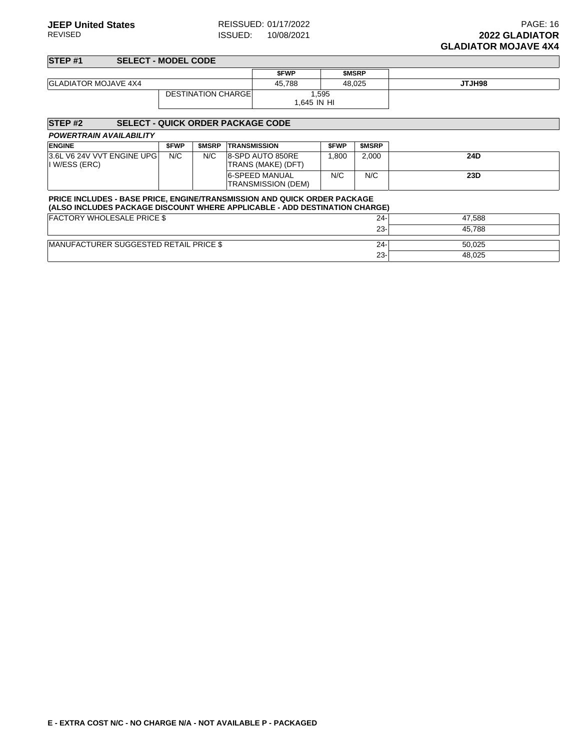23- 48,025

#### **STEP #1 SELECT - MODEL CODE \$FWP \$MSRP** GLADIATOR MOJAVE 4X4 **45,788** 48,025 **JTJH98** DESTINATION CHARGE 1,595 1,645 IN HI

#### **STEP #2 SELECT - QUICK ORDER PACKAGE CODE POWERTRAIN AVAILABILITY ENGINE \$FWP \$MSRP TRANSMISSION \$FWP \$MSRP** 3.6L V6 24V VVT ENGINE UPG I W/ESS (ERC) N/C N/C 8-SPD AUTO 850RE TRANS (MAKE) (DFT) 1,800 2,000 **24D** 6-SPEED MANUAL TRANSMISSION (DEM) N/C N/C **23D PRICE INCLUDES - BASE PRICE, ENGINE/TRANSMISSION AND QUICK ORDER PACKAGE (ALSO INCLUDES PACKAGE DISCOUNT WHERE APPLICABLE - ADD DESTINATION CHARGE)** FACTORY WHOLESALE PRICE \$ 24- 47,588 23- 45,788 MANUFACTURER SUGGESTED RETAIL PRICE \$ 24- 50,025

| E - EXTRA COST N/C - NO CHARGE N/A - NOT AVAILABLE P - PACKAGED |
|-----------------------------------------------------------------|
|-----------------------------------------------------------------|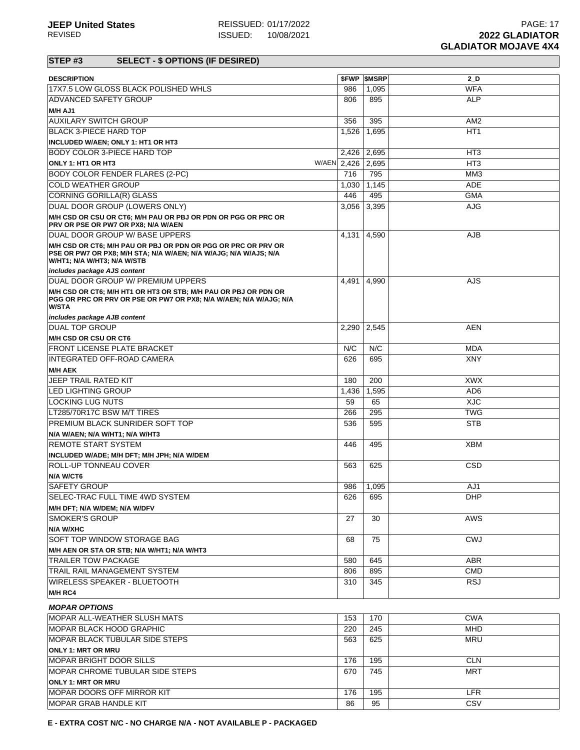| <b>DESCRIPTION</b>                                                                                                                                               |             | <b><i>SFWP SMSRP</i></b> | $2_D$           |
|------------------------------------------------------------------------------------------------------------------------------------------------------------------|-------------|--------------------------|-----------------|
| 17X7.5 LOW GLOSS BLACK POLISHED WHLS                                                                                                                             | 986         | 1,095                    | <b>WFA</b>      |
| <b>ADVANCED SAFETY GROUP</b>                                                                                                                                     | 806         | 895                      | <b>ALP</b>      |
| M/H AJ1                                                                                                                                                          |             |                          |                 |
| <b>AUXILARY SWITCH GROUP</b>                                                                                                                                     | 356         | 395                      | AM <sub>2</sub> |
| BLACK 3-PIECE HARD TOP                                                                                                                                           | 1,526       | 1,695                    | HT <sub>1</sub> |
| INCLUDED W/AEN; ONLY 1: HT1 OR HT3                                                                                                                               |             |                          |                 |
| <b>BODY COLOR 3-PIECE HARD TOP</b>                                                                                                                               |             | 2,426 2,695              | HT3             |
|                                                                                                                                                                  |             |                          |                 |
| ONLY 1: HT1 OR HT3                                                                                                                                               | W/AEN 2,426 | 2,695                    | HT <sub>3</sub> |
| <b>BODY COLOR FENDER FLARES (2-PC)</b>                                                                                                                           | 716         | 795                      | MM <sub>3</sub> |
| <b>COLD WEATHER GROUP</b>                                                                                                                                        | 1,030       | 1,145                    | <b>ADE</b>      |
| CORNING GORILLA(R) GLASS                                                                                                                                         | 446         | 495                      | <b>GMA</b>      |
| DUAL DOOR GROUP (LOWERS ONLY)                                                                                                                                    | 3,056       | 3,395                    | <b>AJG</b>      |
| M/H CSD OR CSU OR CT6; M/H PAU OR PBJ OR PDN OR PGG OR PRC OR<br>PRV OR PSE OR PW7 OR PX8; N/A W/AEN                                                             |             |                          |                 |
| DUAL DOOR GROUP W/ BASE UPPERS                                                                                                                                   | 4,131       | 4,590                    | AJB             |
| M/H CSD OR CT6; M/H PAU OR PBJ OR PDN OR PGG OR PRC OR PRV OR<br>PSE OR PW7 OR PX8; M/H STA; N/A W/AEN; N/A W/AJG; N/A W/AJS; N/A<br>W/HT1; N/A W/HT3; N/A W/STB |             |                          |                 |
| includes package AJS content                                                                                                                                     |             |                          |                 |
| DUAL DOOR GROUP W/ PREMIUM UPPERS                                                                                                                                | 4,491       | 4,990                    | AJS.            |
| M/H CSD OR CT6; M/H HT1 OR HT3 OR STB; M/H PAU OR PBJ OR PDN OR<br>PGG OR PRC OR PRV OR PSE OR PW7 OR PX8; N/A W/AEN; N/A W/AJG; N/A<br><b>W/STA</b>             |             |                          |                 |
| includes package AJB content                                                                                                                                     |             |                          |                 |
| <b>DUAL TOP GROUP</b>                                                                                                                                            | 2,290       | 2,545                    | AEN             |
| M/H CSD OR CSU OR CT6                                                                                                                                            |             |                          |                 |
| <b>FRONT LICENSE PLATE BRACKET</b>                                                                                                                               | N/C         | N/C                      | MDA             |
| <b>INTEGRATED OFF-ROAD CAMERA</b>                                                                                                                                | 626         | 695                      | <b>XNY</b>      |
| <b>M/H AEK</b>                                                                                                                                                   |             |                          |                 |
| JEEP TRAIL RATED KIT                                                                                                                                             | 180         | 200                      | <b>XWX</b>      |
| <b>LED LIGHTING GROUP</b>                                                                                                                                        | 1,436       | 1,595                    | AD <sub>6</sub> |
| LOCKING LUG NUTS                                                                                                                                                 | 59          | 65                       | <b>XJC</b>      |
| LT285/70R17C BSW M/T TIRES                                                                                                                                       | 266         | 295                      | <b>TWG</b>      |
| <b>PREMIUM BLACK SUNRIDER SOFT TOP</b>                                                                                                                           | 536         | 595                      | <b>STB</b>      |
|                                                                                                                                                                  |             |                          |                 |
| N/A W/AEN; N/A W/HT1; N/A W/HT3<br><b>REMOTE START SYSTEM</b>                                                                                                    | 446         | 495                      | <b>XBM</b>      |
|                                                                                                                                                                  |             |                          |                 |
| INCLUDED W/ADE; M/H DFT; M/H JPH; N/A W/DEM                                                                                                                      |             |                          |                 |
| <b>ROLL-UP TONNEAU COVER</b>                                                                                                                                     | 563         | 625                      | CSD             |
| N/A W/CT6                                                                                                                                                        |             |                          |                 |
| <b>SAFETY GROUP</b>                                                                                                                                              | 986         | 1,095                    | AJ1             |
| SELEC-TRAC FULL TIME 4WD SYSTEM                                                                                                                                  | 626         | 695                      | <b>DHP</b>      |
| M/H DFT; N/A W/DEM; N/A W/DFV                                                                                                                                    |             |                          |                 |
| <b>SMOKER'S GROUP</b>                                                                                                                                            | 27          | 30                       | AWS             |
| <b>N/A W/XHC</b>                                                                                                                                                 |             |                          |                 |
| SOFT TOP WINDOW STORAGE BAG                                                                                                                                      | 68          | 75                       | <b>CWJ</b>      |
| M/H AEN OR STA OR STB; N/A W/HT1; N/A W/HT3                                                                                                                      |             |                          |                 |
| <b>TRAILER TOW PACKAGE</b>                                                                                                                                       | 580         | 645                      | <b>ABR</b>      |
| TRAIL RAIL MANAGEMENT SYSTEM                                                                                                                                     | 806         | 895                      | <b>CMD</b>      |
| <b>WIRELESS SPEAKER - BLUETOOTH</b>                                                                                                                              | 310         | 345                      | <b>RSJ</b>      |
| M/H RC4                                                                                                                                                          |             |                          |                 |
|                                                                                                                                                                  |             |                          |                 |
| <b>MOPAR OPTIONS</b>                                                                                                                                             |             |                          |                 |
| MOPAR ALL-WEATHER SLUSH MATS                                                                                                                                     | 153         | 170                      | <b>CWA</b>      |
| <b>IMOPAR BLACK HOOD GRAPHIC</b>                                                                                                                                 | 220         | 245                      | <b>MHD</b>      |
| MOPAR BLACK TUBULAR SIDE STEPS                                                                                                                                   | 563         | 625                      | <b>MRU</b>      |
| <b>ONLY 1: MRT OR MRU</b>                                                                                                                                        |             |                          |                 |
| <b>MOPAR BRIGHT DOOR SILLS</b>                                                                                                                                   | 176         | 195                      | <b>CLN</b>      |
| <b>MOPAR CHROME TUBULAR SIDE STEPS</b>                                                                                                                           | 670         | 745                      | MRT             |
| <b>ONLY 1: MRT OR MRU</b>                                                                                                                                        |             |                          |                 |
| <b>MOPAR DOORS OFF MIRROR KIT</b>                                                                                                                                | 176         | 195                      | <b>LFR</b>      |
| MOPAR GRAB HANDLE KIT                                                                                                                                            | 86          | 95                       | CSV             |
|                                                                                                                                                                  |             |                          |                 |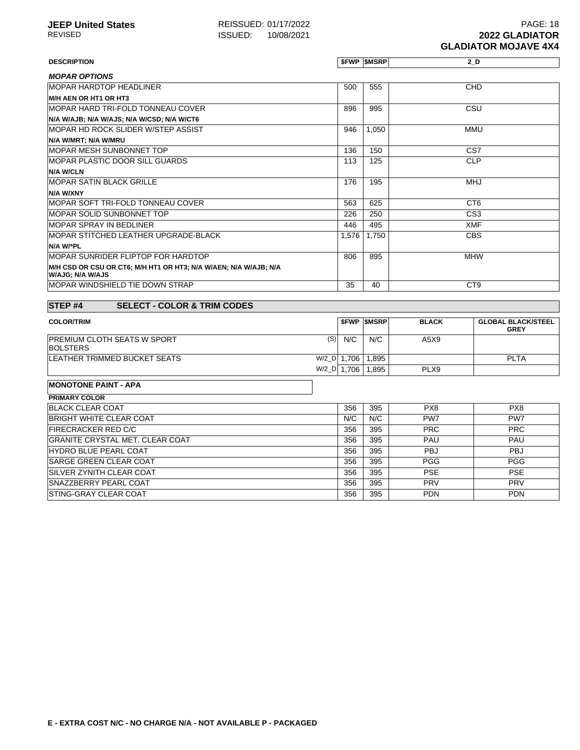**DESCRIPTION \$FWP \$MSRP 2\_D**

| <b>MOPAR OPTIONS</b>                                                                 |       |       |                 |
|--------------------------------------------------------------------------------------|-------|-------|-----------------|
| <b>MOPAR HARDTOP HEADLINER</b>                                                       | 500   | 555   | CHD             |
| M/H AEN OR HT1 OR HT3                                                                |       |       |                 |
| IMOPAR HARD TRI-FOLD TONNEAU COVER                                                   | 896   | 995   | CSU             |
| N/A W/AJB; N/A W/AJS; N/A W/CSD; N/A W/CT6                                           |       |       |                 |
| <b>IMOPAR HD ROCK SLIDER W/STEP ASSIST</b>                                           | 946   | 1,050 | MMU             |
| N/A W/MRT; N/A W/MRU                                                                 |       |       |                 |
| IMOPAR MESH SUNBONNET TOP                                                            | 136   | 150   | CS <sub>7</sub> |
| <b>IMOPAR PLASTIC DOOR SILL GUARDS</b>                                               | 113   | 125   | <b>CLP</b>      |
| <b>N/A W/CLN</b>                                                                     |       |       |                 |
| <b>MOPAR SATIN BLACK GRILLE</b>                                                      | 176   | 195   | <b>MHJ</b>      |
| N/A W/XNY                                                                            |       |       |                 |
| <b>IMOPAR SOFT TRI-FOLD TONNEAU COVER</b>                                            | 563   | 625   | CT <sub>6</sub> |
| <b>IMOPAR SOLID SUNBONNET TOP</b>                                                    | 226   | 250   | CS <sub>3</sub> |
| <b>MOPAR SPRAY IN BEDLINER</b>                                                       | 446   | 495   | <b>XMF</b>      |
| IMOPAR STITCHED LEATHER UPGRADE-BLACK                                                | 1,576 | 1,750 | <b>CBS</b>      |
| N/A W/*PL                                                                            |       |       |                 |
| IMOPAR SUNRIDER FLIPTOP FOR HARDTOP                                                  | 806   | 895   | <b>MHW</b>      |
| M/H CSD OR CSU OR CT6; M/H HT1 OR HT3; N/A W/AEN; N/A W/AJB; N/A<br>W/AJG; N/A W/AJS |       |       |                 |
| IMOPAR WINDSHIELD TIE DOWN STRAP                                                     | 35    | 40    | CT <sub>9</sub> |

| <b>STEP#4</b><br><b>SELECT - COLOR &amp; TRIM CODES</b> |         |       |                   |                 |                                          |
|---------------------------------------------------------|---------|-------|-------------------|-----------------|------------------------------------------|
| <b>COLOR/TRIM</b>                                       |         |       | <b>SFWP SMSRP</b> | <b>BLACK</b>    | <b>GLOBAL BLACK/STEEL</b><br><b>GREY</b> |
| <b>PREMIUM CLOTH SEATS W SPORT</b><br><b>BOLSTERS</b>   | (S)     | N/C   | N/C               | A5X9            |                                          |
| LEATHER TRIMMED BUCKET SEATS                            | $W/2$ D | 1.706 | 1.895             |                 | <b>PLTA</b>                              |
|                                                         | $W/2$ D | 1.706 | 1.895             | PLX9            |                                          |
| <b>MONOTONE PAINT - APA</b>                             |         |       |                   |                 |                                          |
| <b>PRIMARY COLOR</b>                                    |         |       |                   |                 |                                          |
| <b>BLACK CLEAR COAT</b>                                 |         | 356   | 395               | PX8             | PX8                                      |
| <b>BRIGHT WHITE CLEAR COAT</b>                          |         | N/C   | N/C               | PW <sub>7</sub> | PW <sub>7</sub>                          |
| <b>FIRECRACKER RED C/C</b>                              |         | 356   | 395               | <b>PRC</b>      | <b>PRC</b>                               |
| <b>GRANITE CRYSTAL MET. CLEAR COAT</b>                  |         | 356   | 395               | PAU             | <b>PAU</b>                               |

HYDRO BLUE PEARL COAT 356 395 PBJ PBJ SARGE GREEN CLEAR COAT 356 395 PGG PGG SILVER ZYNITH CLEAR COAT **356 295 PSE** PSE SNAZZBERRY PEARL COAT **356 395 PRV PRV** PRV STING-GRAY CLEAR COAT PDN PDN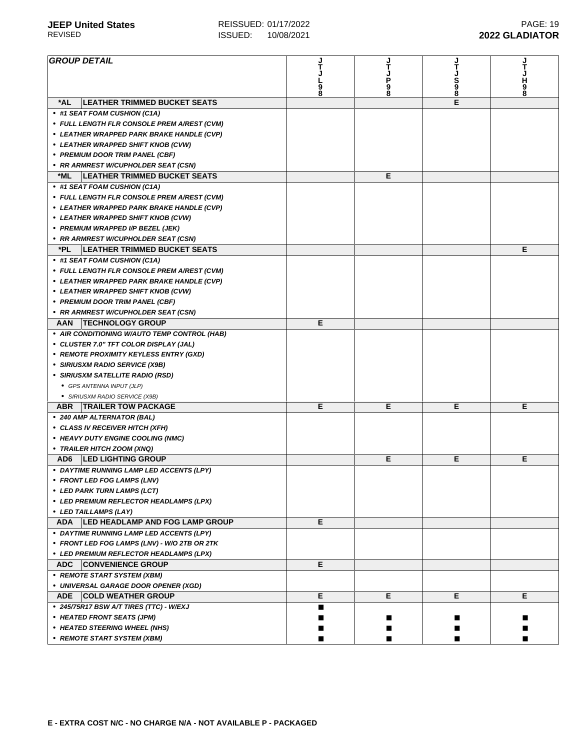| <b>GROUP DETAIL</b>                                  | J<br>T | J<br>T |         |        |
|------------------------------------------------------|--------|--------|---------|--------|
|                                                      |        |        |         | Т      |
|                                                      |        | P      |         | н      |
|                                                      | 9<br>8 | 9<br>8 | S<br>98 | 9<br>8 |
| *AL<br><b>LEATHER TRIMMED BUCKET SEATS</b>           |        |        | E       |        |
| • #1 SEAT FOAM CUSHION (C1A)                         |        |        |         |        |
| • FULL LENGTH FLR CONSOLE PREM A/REST (CVM)          |        |        |         |        |
| • LEATHER WRAPPED PARK BRAKE HANDLE (CVP)            |        |        |         |        |
| • LEATHER WRAPPED SHIFT KNOB (CVW)                   |        |        |         |        |
| • PREMIUM DOOR TRIM PANEL (CBF)                      |        |        |         |        |
| • RR ARMREST W/CUPHOLDER SEAT (CSN)                  |        |        |         |        |
| <b>LEATHER TRIMMED BUCKET SEATS</b><br>*ML           |        | Е      |         |        |
| • #1 SEAT FOAM CUSHION (C1A)                         |        |        |         |        |
| • FULL LENGTH FLR CONSOLE PREM A/REST (CVM)          |        |        |         |        |
| • LEATHER WRAPPED PARK BRAKE HANDLE (CVP)            |        |        |         |        |
| • LEATHER WRAPPED SHIFT KNOB (CVW)                   |        |        |         |        |
| • PREMIUM WRAPPED I/P BEZEL (JEK)                    |        |        |         |        |
| • RR ARMREST W/CUPHOLDER SEAT (CSN)                  |        |        |         |        |
| *PL<br><b>LEATHER TRIMMED BUCKET SEATS</b>           |        |        |         | Е      |
| • #1 SEAT FOAM CUSHION (C1A)                         |        |        |         |        |
| • FULL LENGTH FLR CONSOLE PREM A/REST (CVM)          |        |        |         |        |
| • LEATHER WRAPPED PARK BRAKE HANDLE (CVP)            |        |        |         |        |
| • LEATHER WRAPPED SHIFT KNOB (CVW)                   |        |        |         |        |
| • PREMIUM DOOR TRIM PANEL (CBF)                      |        |        |         |        |
| • RR ARMREST W/CUPHOLDER SEAT (CSN)                  |        |        |         |        |
| <b>TECHNOLOGY GROUP</b><br>AAN                       | Е      |        |         |        |
| • AIR CONDITIONING W/AUTO TEMP CONTROL (HAB)         |        |        |         |        |
| • CLUSTER 7.0" TFT COLOR DISPLAY (JAL)               |        |        |         |        |
| • REMOTE PROXIMITY KEYLESS ENTRY (GXD)               |        |        |         |        |
| • SIRIUSXM RADIO SERVICE (X9B)                       |        |        |         |        |
| • SIRIUSXM SATELLITE RADIO (RSD)                     |        |        |         |        |
| • GPS ANTENNA INPUT (JLP)                            |        |        |         |        |
| · SIRIUSXM RADIO SERVICE (X9B)                       |        |        |         |        |
| <b>TRAILER TOW PACKAGE</b><br><b>ABR</b>             | Е      | Е      | Е       | Е      |
| • 240 AMP ALTERNATOR (BAL)                           |        |        |         |        |
| • CLASS IV RECEIVER HITCH (XFH)                      |        |        |         |        |
| • HEAVY DUTY ENGINE COOLING (NMC)                    |        |        |         |        |
| • TRAILER HITCH ZOOM (XNQ)                           |        |        |         |        |
| AD <sub>6</sub><br><b>LED LIGHTING GROUP</b>         |        | Е      | Е       | Е      |
| • DAYTIME RUNNING LAMP LED ACCENTS (LPY)             |        |        |         |        |
| • FRONT LED FOG LAMPS (LNV)                          |        |        |         |        |
| • LED PARK TURN LAMPS (LCT)                          |        |        |         |        |
| • LED PREMIUM REFLECTOR HEADLAMPS (LPX)              |        |        |         |        |
| • LED TAILLAMPS (LAY)                                |        |        |         |        |
| <b>LED HEADLAMP AND FOG LAMP GROUP</b><br><b>ADA</b> | Е      |        |         |        |
| • DAYTIME RUNNING LAMP LED ACCENTS (LPY)             |        |        |         |        |
| • FRONT LED FOG LAMPS (LNV) - W/O 2TB OR 2TK         |        |        |         |        |
| • LED PREMIUM REFLECTOR HEADLAMPS (LPX)              |        |        |         |        |
| <b>ADC</b><br><b>CONVENIENCE GROUP</b>               | Е      |        |         |        |
| • REMOTE START SYSTEM (XBM)                          |        |        |         |        |
| • UNIVERSAL GARAGE DOOR OPENER (XGD)                 |        |        |         |        |
| <b>ADE</b><br><b>COLD WEATHER GROUP</b>              | Е      | Е      | Е       | Е      |
| • 245/75R17 BSW A/T TIRES (TTC) - W/EXJ              | ■      |        |         |        |
| • HEATED FRONT SEATS (JPM)                           |        |        |         |        |
| • HEATED STEERING WHEEL (NHS)                        |        |        |         |        |
| • REMOTE START SYSTEM (XBM)                          |        |        |         |        |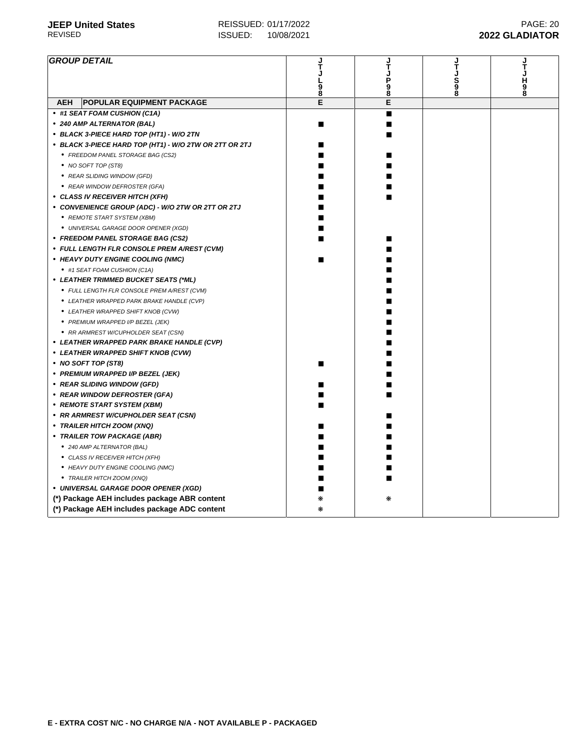| <b>GROUP DETAIL</b>                                    |        | ر<br>T          | してしるの | してし出る |
|--------------------------------------------------------|--------|-----------------|-------|-------|
|                                                        |        | <b>Da</b><br>Ba |       |       |
|                                                        | 9<br>8 |                 |       |       |
| <b>POPULAR EQUIPMENT PACKAGE</b><br><b>AEH</b>         | E      | E               |       |       |
| • #1 SEAT FOAM CUSHION (C1A)                           |        | ■               |       |       |
| • 240 AMP ALTERNATOR (BAL)                             |        | ٠               |       |       |
| • BLACK 3-PIECE HARD TOP (HT1) - W/O 2TN               |        | ■               |       |       |
| • BLACK 3-PIECE HARD TOP (HT1) - W/O 2TW OR 2TT OR 2TJ |        |                 |       |       |
| • FREEDOM PANEL STORAGE BAG (CS2)                      |        |                 |       |       |
| • NO SOFT TOP (ST8)                                    |        |                 |       |       |
| • REAR SLIDING WINDOW (GFD)                            |        |                 |       |       |
| • REAR WINDOW DEFROSTER (GFA)                          |        |                 |       |       |
| • CLASS IV RECEIVER HITCH (XFH)                        |        |                 |       |       |
| • CONVENIENCE GROUP (ADC) - W/O 2TW OR 2TT OR 2TJ      |        |                 |       |       |
| • REMOTE START SYSTEM (XBM)                            |        |                 |       |       |
| · UNIVERSAL GARAGE DOOR OPENER (XGD)                   |        |                 |       |       |
| • FREEDOM PANEL STORAGE BAG (CS2)                      |        |                 |       |       |
| • FULL LENGTH FLR CONSOLE PREM A/REST (CVM)            |        |                 |       |       |
| • HEAVY DUTY ENGINE COOLING (NMC)                      |        |                 |       |       |
| • #1 SEAT FOAM CUSHION (C1A)                           |        |                 |       |       |
| • LEATHER TRIMMED BUCKET SEATS (*ML)                   |        |                 |       |       |
| • FULL LENGTH FLR CONSOLE PREM A/REST (CVM)            |        |                 |       |       |
| • LEATHER WRAPPED PARK BRAKE HANDLE (CVP)              |        |                 |       |       |
| • LEATHER WRAPPED SHIFT KNOB (CVW)                     |        |                 |       |       |
| • PREMIUM WRAPPED I/P BEZEL (JEK)                      |        |                 |       |       |
| • RR ARMREST W/CUPHOLDER SEAT (CSN)                    |        |                 |       |       |
| • LEATHER WRAPPED PARK BRAKE HANDLE (CVP)              |        |                 |       |       |
| • LEATHER WRAPPED SHIFT KNOB (CVW)                     |        |                 |       |       |
| • NO SOFT TOP (ST8)                                    |        |                 |       |       |
| • PREMIUM WRAPPED I/P BEZEL (JEK)                      |        |                 |       |       |
| • REAR SLIDING WINDOW (GFD)                            |        |                 |       |       |
| • REAR WINDOW DEFROSTER (GFA)                          |        |                 |       |       |
| • REMOTE START SYSTEM (XBM)                            |        |                 |       |       |
| • RR ARMREST W/CUPHOLDER SEAT (CSN)                    |        |                 |       |       |
| • TRAILER HITCH ZOOM (XNQ)                             |        |                 |       |       |
| • TRAILER TOW PACKAGE (ABR)                            |        |                 |       |       |
| • 240 AMP ALTERNATOR (BAL)                             |        |                 |       |       |
| • CLASS IV RECEIVER HITCH (XFH)                        |        |                 |       |       |
| • HEAVY DUTY ENGINE COOLING (NMC)                      |        |                 |       |       |
| • TRAILER HITCH ZOOM (XNQ)                             |        |                 |       |       |
| • UNIVERSAL GARAGE DOOR OPENER (XGD)                   |        |                 |       |       |
| (*) Package AEH includes package ABR content           |        |                 |       |       |
| (*) Package AEH includes package ADC content           | ⋇      |                 |       |       |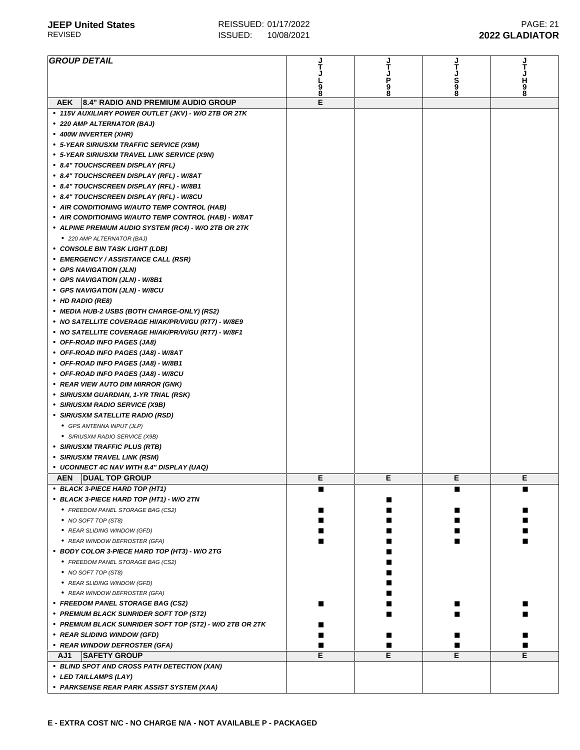| <b>GROUP DETAIL</b>                                      |        |        |        |               |
|----------------------------------------------------------|--------|--------|--------|---------------|
|                                                          |        |        |        |               |
|                                                          |        | Ρ      | Š<br>9 | н             |
|                                                          | 9<br>8 | 9<br>8 |        | $\frac{9}{8}$ |
| 8.4" RADIO AND PREMIUM AUDIO GROUP<br><b>AEK</b>         | E      |        |        |               |
| • 115V AUXILIARY POWER OUTLET (JKV) - W/O 2TB OR 2TK     |        |        |        |               |
|                                                          |        |        |        |               |
| • 220 AMP ALTERNATOR (BAJ)                               |        |        |        |               |
| • 400W INVERTER (XHR)                                    |        |        |        |               |
| • 5-YEAR SIRIUSXM TRAFFIC SERVICE (X9M)                  |        |        |        |               |
| • 5-YEAR SIRIUSXM TRAVEL LINK SERVICE (X9N)              |        |        |        |               |
| • 8.4" TOUCHSCREEN DISPLAY (RFL)                         |        |        |        |               |
| • 8.4" TOUCHSCREEN DISPLAY (RFL) - W/8AT                 |        |        |        |               |
| • 8.4" TOUCHSCREEN DISPLAY (RFL) - W/8B1                 |        |        |        |               |
| • 8.4" TOUCHSCREEN DISPLAY (RFL) - W/8CU                 |        |        |        |               |
| • AIR CONDITIONING W/AUTO TEMP CONTROL (HAB)             |        |        |        |               |
| • AIR CONDITIONING W/AUTO TEMP CONTROL (HAB) - W/8AT     |        |        |        |               |
| • ALPINE PREMIUM AUDIO SYSTEM (RC4) - W/O 2TB OR 2TK     |        |        |        |               |
| • 220 AMP ALTERNATOR (BAJ)                               |        |        |        |               |
| • CONSOLE BIN TASK LIGHT (LDB)                           |        |        |        |               |
|                                                          |        |        |        |               |
| • EMERGENCY / ASSISTANCE CALL (RSR)                      |        |        |        |               |
| • GPS NAVIGATION (JLN)                                   |        |        |        |               |
| • GPS NAVIGATION (JLN) - W/8B1                           |        |        |        |               |
| • GPS NAVIGATION (JLN) - W/8CU                           |        |        |        |               |
| • HD RADIO (RE8)                                         |        |        |        |               |
| • MEDIA HUB-2 USBS (BOTH CHARGE-ONLY) (RS2)              |        |        |        |               |
| • NO SATELLITE COVERAGE HI/AK/PR/VI/GU (RT7) - W/8E9     |        |        |        |               |
| • NO SATELLITE COVERAGE HI/AK/PR/VI/GU (RT7) - W/8F1     |        |        |        |               |
| • OFF-ROAD INFO PAGES (JA8)                              |        |        |        |               |
| • OFF-ROAD INFO PAGES (JA8) - W/8AT                      |        |        |        |               |
| • OFF-ROAD INFO PAGES (JA8) - W/8B1                      |        |        |        |               |
| • OFF-ROAD INFO PAGES (JA8) - W/8CU                      |        |        |        |               |
| • REAR VIEW AUTO DIM MIRROR (GNK)                        |        |        |        |               |
| • SIRIUSXM GUARDIAN, 1-YR TRIAL (RSK)                    |        |        |        |               |
|                                                          |        |        |        |               |
| • SIRIUSXM RADIO SERVICE (X9B)                           |        |        |        |               |
| • SIRIUSXM SATELLITE RADIO (RSD)                         |        |        |        |               |
| • GPS ANTENNA INPUT (JLP)                                |        |        |        |               |
| • SIRIUSXM RADIO SERVICE (X9B)                           |        |        |        |               |
| • SIRIUSXM TRAFFIC PLUS (RTB)                            |        |        |        |               |
| • SIRIUSXM TRAVEL LINK (RSM)                             |        |        |        |               |
| • UCONNECT 4C NAV WITH 8.4" DISPLAY (UAQ)                |        |        |        |               |
| <b>DUAL TOP GROUP</b><br><b>AEN</b>                      | E      | E      | Е      | Е             |
| • BLACK 3-PIECE HARD TOP (HT1)                           | ■      |        | ■      |               |
| • BLACK 3-PIECE HARD TOP (HT1) - W/O 2TN                 |        |        |        |               |
| • FREEDOM PANEL STORAGE BAG (CS2)                        |        |        |        |               |
| • NO SOFT TOP (ST8)                                      |        |        |        |               |
| • REAR SLIDING WINDOW (GFD)                              |        |        |        |               |
| • REAR WINDOW DEFROSTER (GFA)                            |        |        |        |               |
|                                                          |        |        |        |               |
| • BODY COLOR 3-PIECE HARD TOP (HT3) - W/O 2TG            |        |        |        |               |
| • FREEDOM PANEL STORAGE BAG (CS2)                        |        |        |        |               |
| • NO SOFT TOP (ST8)                                      |        |        |        |               |
| • REAR SLIDING WINDOW (GFD)                              |        |        |        |               |
| • REAR WINDOW DEFROSTER (GFA)                            |        |        |        |               |
| • FREEDOM PANEL STORAGE BAG (CS2)                        |        |        |        |               |
| • PREMIUM BLACK SUNRIDER SOFT TOP (ST2)                  |        |        |        |               |
| • PREMIUM BLACK SUNRIDER SOFT TOP (ST2) - W/O 2TB OR 2TK |        |        |        |               |
| • REAR SLIDING WINDOW (GFD)                              |        |        |        |               |
| • REAR WINDOW DEFROSTER (GFA)                            |        |        |        |               |
| AJ1<br><b>SAFETY GROUP</b>                               | E      | Е      | E      | Е             |
| • BLIND SPOT AND CROSS PATH DETECTION (XAN)              |        |        |        |               |
| • LED TAILLAMPS (LAY)                                    |        |        |        |               |
| • PARKSENSE REAR PARK ASSIST SYSTEM (XAA)                |        |        |        |               |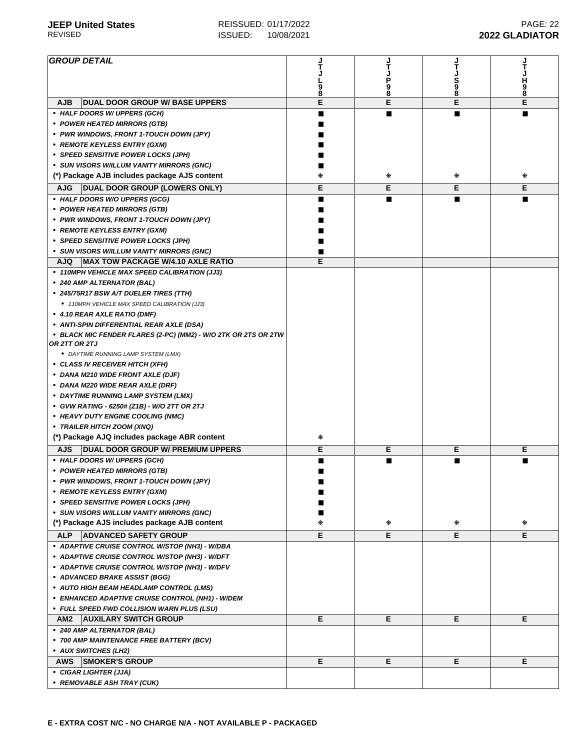| <b>GROUP DETAIL</b>                                                              |   |   |        |        |
|----------------------------------------------------------------------------------|---|---|--------|--------|
|                                                                                  |   |   | S      | H      |
|                                                                                  | 8 | 8 | 9<br>8 | 9<br>8 |
| <b>AJB</b><br><b>DUAL DOOR GROUP W/ BASE UPPERS</b>                              | E | E | E      | E      |
| • HALF DOORS W/ UPPERS (GCH)                                                     |   |   |        |        |
| • POWER HEATED MIRRORS (GTB)                                                     |   |   |        |        |
| • PWR WINDOWS, FRONT 1-TOUCH DOWN (JPY)                                          |   |   |        |        |
| • REMOTE KEYLESS ENTRY (GXM)                                                     |   |   |        |        |
| • SPEED SENSITIVE POWER LOCKS (JPH)                                              |   |   |        |        |
| • SUN VISORS W/ILLUM VANITY MIRRORS (GNC)                                        |   |   |        |        |
| (*) Package AJB includes package AJS content                                     | ⋇ | ⋇ | ⋇      | ⋇      |
| <b>DUAL DOOR GROUP (LOWERS ONLY)</b><br><b>AJG</b>                               | Е | Е | Е      | Е      |
| • HALF DOORS W/O UPPERS (GCG)                                                    |   |   |        |        |
| • POWER HEATED MIRRORS (GTB)                                                     |   |   |        |        |
| • PWR WINDOWS, FRONT 1-TOUCH DOWN (JPY)                                          |   |   |        |        |
| • REMOTE KEYLESS ENTRY (GXM)<br>• SPEED SENSITIVE POWER LOCKS (JPH)              |   |   |        |        |
| • SUN VISORS W/ILLUM VANITY MIRRORS (GNC)                                        |   |   |        |        |
| <b>MAX TOW PACKAGE W/4.10 AXLE RATIO</b><br><b>AJQ</b>                           | Е |   |        |        |
| • 110MPH VEHICLE MAX SPEED CALIBRATION (JJ3)                                     |   |   |        |        |
| • 240 AMP ALTERNATOR (BAL)                                                       |   |   |        |        |
| • 245/75R17 BSW A/T DUELER TIRES (TTH)                                           |   |   |        |        |
| • 110MPH VEHICLE MAX SPEED CALIBRATION (JJ3)                                     |   |   |        |        |
| • 4.10 REAR AXLE RATIO (DMF)                                                     |   |   |        |        |
| • ANTI-SPIN DIFFERENTIAL REAR AXLE (DSA)                                         |   |   |        |        |
| • BLACK MIC FENDER FLARES (2-PC) (MM2) - W/O 2TK OR 2TS OR 2TW<br>OR 2TT OR 2TJ  |   |   |        |        |
| • DAYTIME RUNNING LAMP SYSTEM (LMX)                                              |   |   |        |        |
| • CLASS IV RECEIVER HITCH (XFH)                                                  |   |   |        |        |
| • DANA M210 WIDE FRONT AXLE (DJF)                                                |   |   |        |        |
| • DANA M220 WIDE REAR AXLE (DRF)                                                 |   |   |        |        |
| • DAYTIME RUNNING LAMP SYSTEM (LMX)                                              |   |   |        |        |
| • GVW RATING - 6250# (Z1B) - W/O 2TT OR 2TJ<br>• HEAVY DUTY ENGINE COOLING (NMC) |   |   |        |        |
| • TRAILER HITCH ZOOM (XNQ)                                                       |   |   |        |        |
| (*) Package AJQ includes package ABR content                                     | ⋇ |   |        |        |
| <b>DUAL DOOR GROUP W/ PREMIUM UPPERS</b><br><b>AJS</b>                           | Е | Е | Е      | Е      |
| • HALF DOORS W/ UPPERS (GCH)                                                     |   |   | ш      |        |
| • POWER HEATED MIRRORS (GTB)                                                     |   |   |        |        |
| · PWR WINDOWS, FRONT 1-TOUCH DOWN (JPY)                                          |   |   |        |        |
| • REMOTE KEYLESS ENTRY (GXM)                                                     |   |   |        |        |
| • SPEED SENSITIVE POWER LOCKS (JPH)                                              |   |   |        |        |
| • SUN VISORS W/ILLUM VANITY MIRRORS (GNC)                                        |   |   |        |        |
| (*) Package AJS includes package AJB content                                     | ∗ | ∗ | ₩      | ⋇      |
| <b>ALP</b><br><b>ADVANCED SAFETY GROUP</b>                                       | Е | Е | Е      | E.     |
| • ADAPTIVE CRUISE CONTROL W/STOP (NH3) - W/DBA                                   |   |   |        |        |
| • ADAPTIVE CRUISE CONTROL W/STOP (NH3) - W/DFT                                   |   |   |        |        |
| • ADAPTIVE CRUISE CONTROL W/STOP (NH3) - W/DFV                                   |   |   |        |        |
| • ADVANCED BRAKE ASSIST (BGG)                                                    |   |   |        |        |
| • AUTO HIGH BEAM HEADLAMP CONTROL (LMS)                                          |   |   |        |        |
| • ENHANCED ADAPTIVE CRUISE CONTROL (NH1) - W/DEM                                 |   |   |        |        |
| • FULL SPEED FWD COLLISION WARN PLUS (LSU)                                       |   |   |        |        |
| AM <sub>2</sub><br><b>AUXILARY SWITCH GROUP</b>                                  | Е | Е | Е      | Е      |
| • 240 AMP ALTERNATOR (BAL)                                                       |   |   |        |        |
| • 700 AMP MAINTENANCE FREE BATTERY (BCV)<br>• AUX SWITCHES (LH2)                 |   |   |        |        |
| <b>SMOKER'S GROUP</b><br>AWS                                                     | Е | Е | Е      | Е      |
| • CIGAR LIGHTER (JJA)                                                            |   |   |        |        |
| • REMOVABLE ASH TRAY (CUK)                                                       |   |   |        |        |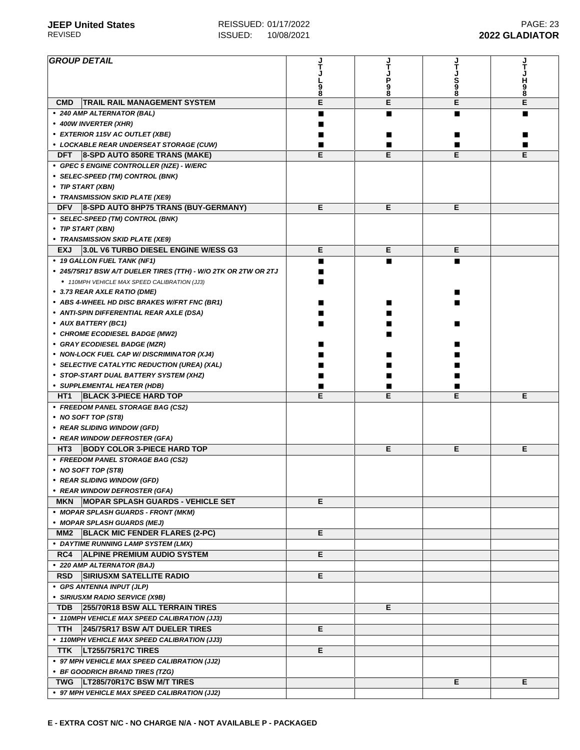$\overline{a}$ 

| <b>GROUP DETAIL</b>                                                                    |   |        |         |             |
|----------------------------------------------------------------------------------------|---|--------|---------|-------------|
|                                                                                        |   |        |         |             |
|                                                                                        |   | 9<br>8 | S<br>98 | H<br>9<br>8 |
| <b>CMD</b><br><b>TRAIL RAIL MANAGEMENT SYSTEM</b>                                      | E | E      | E       | E           |
| • 240 AMP ALTERNATOR (BAL)                                                             | ■ |        |         |             |
| • 400W INVERTER (XHR)                                                                  |   |        |         |             |
| • EXTERIOR 115V AC OUTLET (XBE)                                                        |   |        |         |             |
| • LOCKABLE REAR UNDERSEAT STORAGE (CUW)                                                |   |        |         |             |
| <b>DFT</b><br>8-SPD AUTO 850RE TRANS (MAKE)                                            | E | Е      | E       | Е           |
| • GPEC 5 ENGINE CONTROLLER (NZE) - W/ERC                                               |   |        |         |             |
| • SELEC-SPEED (TM) CONTROL (BNK)                                                       |   |        |         |             |
| • TIP START (XBN)                                                                      |   |        |         |             |
| • TRANSMISSION SKID PLATE (XE9)                                                        |   |        |         |             |
| 8-SPD AUTO 8HP75 TRANS (BUY-GERMANY)<br><b>DFV</b><br>• SELEC-SPEED (TM) CONTROL (BNK) | Е | Е      | Е       |             |
|                                                                                        |   |        |         |             |
| • TIP START (XBN)<br>• TRANSMISSION SKID PLATE (XE9)                                   |   |        |         |             |
| 3.0L V6 TURBO DIESEL ENGINE W/ESS G3<br><b>EXJ</b>                                     | Е | Е      | Е       |             |
| • 19 GALLON FUEL TANK (NF1)                                                            | ■ |        |         |             |
| • 245/75R17 BSW A/T DUELER TIRES (TTH) - W/O 2TK OR 2TW OR 2TJ                         |   |        |         |             |
| • 110MPH VEHICLE MAX SPEED CALIBRATION (JJ3)                                           |   |        |         |             |
| • 3.73 REAR AXLE RATIO (DME)                                                           |   |        |         |             |
| • ABS 4-WHEEL HD DISC BRAKES W/FRT FNC (BR1)                                           |   |        |         |             |
| • ANTI-SPIN DIFFERENTIAL REAR AXLE (DSA)                                               |   |        |         |             |
| • AUX BATTERY (BC1)                                                                    |   |        |         |             |
| • CHROME ECODIESEL BADGE (MW2)                                                         |   |        |         |             |
| • GRAY ECODIESEL BADGE (MZR)                                                           |   |        |         |             |
| • NON-LOCK FUEL CAP W/ DISCRIMINATOR (XJ4)                                             |   |        |         |             |
| • SELECTIVE CATALYTIC REDUCTION (UREA) (XAL)                                           |   |        |         |             |
| • STOP-START DUAL BATTERY SYSTEM (XHZ)                                                 |   |        |         |             |
| • SUPPLEMENTAL HEATER (HDB)<br><b>BLACK 3-PIECE HARD TOP</b><br>HT <sub>1</sub>        | E | Е      | E       | Е           |
| • FREEDOM PANEL STORAGE BAG (CS2)                                                      |   |        |         |             |
| • NO SOFT TOP (ST8)                                                                    |   |        |         |             |
| • REAR SLIDING WINDOW (GFD)                                                            |   |        |         |             |
| • REAR WINDOW DEFROSTER (GFA)                                                          |   |        |         |             |
| <b>BODY COLOR 3-PIECE HARD TOP</b><br>HT3                                              |   | Е      | Е       | Е           |
| • FREEDOM PANEL STORAGE BAG (CS2)                                                      |   |        |         |             |
| • NO SOFT TOP (ST8)                                                                    |   |        |         |             |
| • REAR SLIDING WINDOW (GFD)                                                            |   |        |         |             |
| • REAR WINDOW DEFROSTER (GFA)                                                          |   |        |         |             |
| <b>MOPAR SPLASH GUARDS - VEHICLE SET</b><br><b>MKN</b>                                 | Е |        |         |             |
| • MOPAR SPLASH GUARDS - FRONT (MKM)                                                    |   |        |         |             |
| • MOPAR SPLASH GUARDS (MEJ)                                                            | Е |        |         |             |
| <b>BLACK MIC FENDER FLARES (2-PC)</b><br>MM2                                           |   |        |         |             |
| • DAYTIME RUNNING LAMP SYSTEM (LMX)<br>RC4<br><b>ALPINE PREMIUM AUDIO SYSTEM</b>       | Е |        |         |             |
| • 220 AMP ALTERNATOR (BAJ)                                                             |   |        |         |             |
| <b>RSD</b><br><b>SIRIUSXM SATELLITE RADIO</b>                                          |   |        |         |             |
|                                                                                        |   |        |         |             |
|                                                                                        | Е |        |         |             |
| • GPS ANTENNA INPUT (JLP)<br>• SIRIUSXM RADIO SERVICE (X9B)                            |   |        |         |             |
| <b>TDB</b><br>255/70R18 BSW ALL TERRAIN TIRES                                          |   | Е      |         |             |
| • 110MPH VEHICLE MAX SPEED CALIBRATION (JJ3)                                           |   |        |         |             |
| 245/75R17 BSW A/T DUELER TIRES<br>TTH                                                  | Е |        |         |             |
| • 110MPH VEHICLE MAX SPEED CALIBRATION (JJ3)                                           |   |        |         |             |
| LT255/75R17C TIRES<br><b>TTK</b>                                                       | Е |        |         |             |
| • 97 MPH VEHICLE MAX SPEED CALIBRATION (JJ2)                                           |   |        |         |             |
| • BF GOODRICH BRAND TIRES (TZG)                                                        |   |        |         |             |
| TWG   LT285/70R17C BSW M/T TIRES<br>• 97 MPH VEHICLE MAX SPEED CALIBRATION (JJ2)       |   |        | Е       | Е           |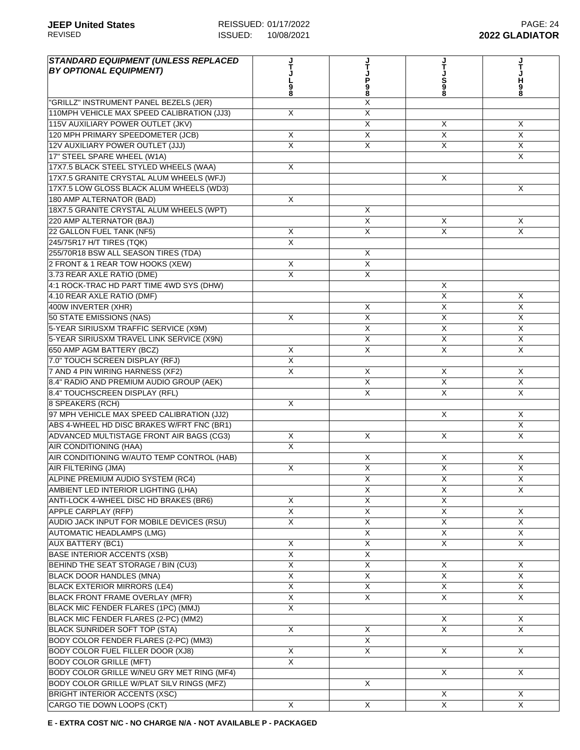| <b>STANDARD EQUIPMENT (UNLESS REPLACED</b><br><b>BY OPTIONAL EQUIPMENT)</b> |                         | Ť<br>P<br>98            | S<br>98                 | н<br>9<br>8                |
|-----------------------------------------------------------------------------|-------------------------|-------------------------|-------------------------|----------------------------|
| "GRILLZ" INSTRUMENT PANEL BEZELS (JER)                                      |                         | Χ                       |                         |                            |
| 110MPH VEHICLE MAX SPEED CALIBRATION (JJ3)                                  | X                       | X                       |                         |                            |
| 115V AUXILIARY POWER OUTLET (JKV)                                           |                         | X                       | X                       | X                          |
| 120 MPH PRIMARY SPEEDOMETER (JCB)                                           | X                       | X                       | X                       | $\mathsf{X}$               |
| 12V AUXILIARY POWER OUTLET (JJJ)                                            | X                       | X                       | X                       | X                          |
| 17" STEEL SPARE WHEEL (W1A)                                                 |                         |                         |                         | $\times$                   |
| 17X7.5 BLACK STEEL STYLED WHEELS (WAA)                                      | X                       |                         |                         |                            |
| 17X7.5 GRANITE CRYSTAL ALUM WHEELS (WFJ)                                    |                         |                         | X                       |                            |
| 17X7.5 LOW GLOSS BLACK ALUM WHEELS (WD3)                                    |                         |                         |                         | X                          |
| 180 AMP ALTERNATOR (BAD)                                                    | X                       |                         |                         |                            |
| 18X7.5 GRANITE CRYSTAL ALUM WHEELS (WPT)                                    |                         | X                       |                         |                            |
| 220 AMP ALTERNATOR (BAJ)                                                    |                         | X                       | X                       | X                          |
| 22 GALLON FUEL TANK (NF5)                                                   | X                       | X                       | $\overline{X}$          | $\overline{X}$             |
| 245/75R17 H/T TIRES (TQK)                                                   | X                       |                         |                         |                            |
| 255/70R18 BSW ALL SEASON TIRES (TDA)                                        |                         | X                       |                         |                            |
| 2 FRONT & 1 REAR TOW HOOKS (XEW)                                            | X                       | X                       |                         |                            |
| 3.73 REAR AXLE RATIO (DME)                                                  | X                       | $\overline{\mathsf{x}}$ |                         |                            |
| 4:1 ROCK-TRAC HD PART TIME 4WD SYS (DHW)                                    |                         |                         | X                       |                            |
| 4.10 REAR AXLE RATIO (DMF)                                                  |                         |                         | X                       | X                          |
| 400W INVERTER (XHR)                                                         |                         | X                       | $\overline{\mathsf{x}}$ | $\overline{X}$             |
| 50 STATE EMISSIONS (NAS)                                                    | X                       | X                       | X                       | X                          |
| 5-YEAR SIRIUSXM TRAFFIC SERVICE (X9M)                                       |                         | X                       | X                       | $\mathsf{X}$               |
| 5-YEAR SIRIUSXM TRAVEL LINK SERVICE (X9N)                                   |                         | X                       | X                       | $\mathsf{X}$               |
| 650 AMP AGM BATTERY (BCZ)                                                   | X                       | X                       | X                       | X                          |
| 7.0" TOUCH SCREEN DISPLAY (RFJ)                                             | $\overline{X}$          |                         |                         |                            |
| 7 AND 4 PIN WIRING HARNESS (XF2)                                            | X                       | X                       | X                       | X                          |
| 8.4" RADIO AND PREMIUM AUDIO GROUP (AEK)                                    |                         | X                       | $\overline{\mathsf{x}}$ | $\overline{X}$             |
|                                                                             |                         | X                       | X                       | $\overline{\mathsf{x}}$    |
| 8.4" TOUCHSCREEN DISPLAY (RFL)                                              |                         |                         |                         |                            |
| 8 SPEAKERS (RCH)<br>97 MPH VEHICLE MAX SPEED CALIBRATION (JJ2)              | X                       |                         | X                       |                            |
|                                                                             |                         |                         |                         | $\times$<br>$\overline{X}$ |
| ABS 4-WHEEL HD DISC BRAKES W/FRT FNC (BR1)                                  | X                       |                         | $\times$                |                            |
| ADVANCED MULTISTAGE FRONT AIR BAGS (CG3)                                    |                         | X                       |                         | $\times$                   |
| <b>AIR CONDITIONING (HAA)</b>                                               | X                       |                         |                         |                            |
| AIR CONDITIONING W/AUTO TEMP CONTROL (HAB)                                  |                         | X                       | X                       | X                          |
| AIR FILTERING (JMA)                                                         | X                       | X                       | X                       | X                          |
| ALPINE PREMIUM AUDIO SYSTEM (RC4)                                           |                         | $\overline{X}$          | $\pmb{\times}$          | X                          |
| AMBIENT LED INTERIOR LIGHTING (LHA)                                         |                         | $\overline{X}$          | $\overline{\mathsf{x}}$ | X                          |
| ANTI-LOCK 4-WHEEL DISC HD BRAKES (BR6)                                      | X                       | $\overline{\mathsf{X}}$ | $\overline{X}$          |                            |
| <b>APPLE CARPLAY (RFP)</b>                                                  | $\overline{X}$          | X                       | $\overline{X}$          | $\times$                   |
| AUDIO JACK INPUT FOR MOBILE DEVICES (RSU)                                   | X                       | X                       | $\overline{\mathsf{x}}$ | X                          |
| <b>AUTOMATIC HEADLAMPS (LMG)</b>                                            |                         | $\overline{\mathsf{x}}$ | X                       | $\mathsf{X}$               |
| <b>AUX BATTERY (BC1)</b>                                                    | X                       | $\overline{X}$          | X                       | X                          |
| <b>BASE INTERIOR ACCENTS (XSB)</b>                                          | X                       | X                       |                         |                            |
| BEHIND THE SEAT STORAGE / BIN (CU3)                                         | X                       | X                       | X                       | X                          |
| BLACK DOOR HANDLES (MNA)                                                    | $\overline{\mathsf{x}}$ | X                       | X                       | X                          |
| <b>BLACK EXTERIOR MIRRORS (LE4)</b>                                         | $\overline{\mathsf{x}}$ | $\overline{X}$          | X                       | X                          |
| <b>BLACK FRONT FRAME OVERLAY (MFR)</b>                                      | $\overline{X}$          | X                       | X                       | X                          |
| BLACK MIC FENDER FLARES (1PC) (MMJ)                                         | $\overline{\mathsf{x}}$ |                         |                         |                            |
| BLACK MIC FENDER FLARES (2-PC) (MM2)                                        |                         |                         | X                       | X                          |
| <b>BLACK SUNRIDER SOFT TOP (STA)</b>                                        | X                       | X                       | $\overline{X}$          | $\overline{X}$             |
| BODY COLOR FENDER FLARES (2-PC) (MM3)                                       |                         | X                       |                         |                            |
| BODY COLOR FUEL FILLER DOOR (XJ8)                                           | X                       | X                       | X                       | X                          |
| <b>BODY COLOR GRILLE (MFT)</b>                                              | $\mathsf{X}$            |                         |                         |                            |
| BODY COLOR GRILLE W/NEU GRY MET RING (MF4)                                  |                         |                         | X                       | X                          |
| BODY COLOR GRILLE W/PLAT SILV RINGS (MFZ)                                   |                         | X                       |                         |                            |
| <b>BRIGHT INTERIOR ACCENTS (XSC)</b>                                        |                         |                         | $\overline{\mathsf{x}}$ | X                          |
| CARGO TIE DOWN LOOPS (CKT)                                                  | X                       | X                       | $\overline{\mathsf{X}}$ | $\overline{X}$             |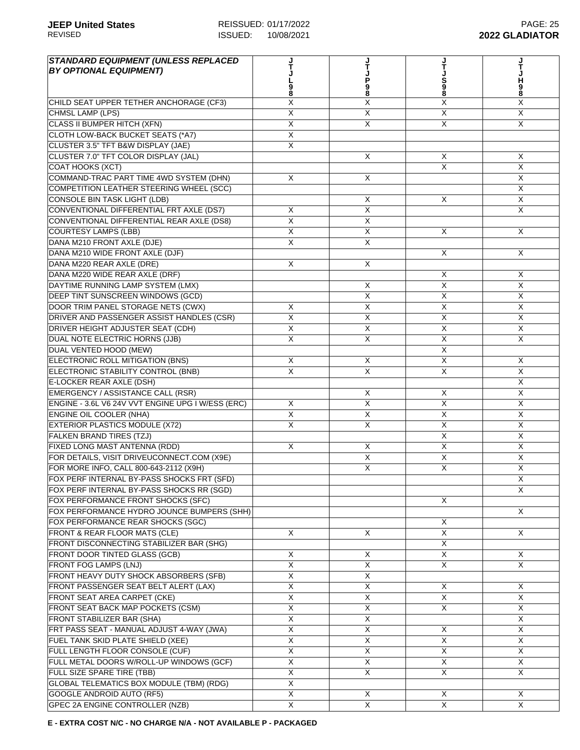| <b>STANDARD EQUIPMENT (UNLESS REPLACED</b>                                 |                         |                           |                         |                              |
|----------------------------------------------------------------------------|-------------------------|---------------------------|-------------------------|------------------------------|
| <b>BY OPTIONAL EQUIPMENT)</b>                                              |                         |                           |                         |                              |
|                                                                            | 9<br>8                  | P<br>98                   | S<br>8                  | H<br>9                       |
|                                                                            | Χ                       | X                         | $\overline{\mathsf{X}}$ | 8<br>X                       |
| CHILD SEAT UPPER TETHER ANCHORAGE (CF3)<br><b>CHMSL LAMP (LPS)</b>         | $\overline{\mathsf{X}}$ | $\overline{X}$            | $\overline{X}$          | $\overline{X}$               |
| <b>CLASS II BUMPER HITCH (XFN)</b>                                         | X                       | $\boldsymbol{\mathsf{X}}$ | X                       | $\times$                     |
| CLOTH LOW-BACK BUCKET SEATS (*A7)                                          | X                       |                           |                         |                              |
|                                                                            | X                       |                           |                         |                              |
| CLUSTER 3.5" TFT B&W DISPLAY (JAE)<br>CLUSTER 7.0" TFT COLOR DISPLAY (JAL) |                         | $\boldsymbol{\mathsf{X}}$ | X                       | X                            |
| COAT HOOKS (XCT)                                                           |                         |                           | $\times$                | X                            |
| COMMAND-TRAC PART TIME 4WD SYSTEM (DHN)                                    | X                       | $\overline{\mathsf{x}}$   |                         | X                            |
| COMPETITION LEATHER STEERING WHEEL (SCC)                                   |                         |                           |                         | $\overline{X}$               |
| <b>CONSOLE BIN TASK LIGHT (LDB)</b>                                        |                         | $\boldsymbol{\mathsf{X}}$ | X                       | $\overline{X}$               |
| CONVENTIONAL DIFFERENTIAL FRT AXLE (DS7)                                   | X                       | $\overline{X}$            |                         | $\overline{X}$               |
| CONVENTIONAL DIFFERENTIAL REAR AXLE (DS8)                                  | X                       | X                         |                         |                              |
| <b>COURTESY LAMPS (LBB)</b>                                                | X                       | X                         | X                       | X                            |
| DANA M210 FRONT AXLE (DJE)                                                 | X                       | X                         |                         |                              |
|                                                                            |                         |                           | X                       | X                            |
| DANA M210 WIDE FRONT AXLE (DJF)<br>DANA M220 REAR AXLE (DRE)               |                         |                           |                         |                              |
| DANA M220 WIDE REAR AXLE (DRF)                                             | X                       | X                         |                         |                              |
|                                                                            |                         |                           | Χ<br>$\overline{X}$     | Χ<br>$\overline{\mathsf{x}}$ |
| DAYTIME RUNNING LAMP SYSTEM (LMX)                                          |                         | X                         |                         |                              |
| DEEP TINT SUNSCREEN WINDOWS (GCD)                                          |                         | $\overline{\mathsf{x}}$   | $\overline{X}$          | $\overline{X}$               |
| DOOR TRIM PANEL STORAGE NETS (CWX)                                         | X                       | $\overline{X}$            | $\overline{\mathsf{X}}$ | $\overline{X}$               |
| DRIVER AND PASSENGER ASSIST HANDLES (CSR)                                  | $\overline{\mathsf{X}}$ | X                         | $\overline{\mathsf{x}}$ | X                            |
| DRIVER HEIGHT ADJUSTER SEAT (CDH)                                          | X                       | X                         | X                       | $\overline{X}$               |
| DUAL NOTE ELECTRIC HORNS (JJB)                                             | X                       | X                         | X                       | $\overline{X}$               |
| DUAL VENTED HOOD (MEW)                                                     |                         |                           | X                       |                              |
| ELECTRONIC ROLL MITIGATION (BNS)                                           | X                       | X                         | X                       | X                            |
| ELECTRONIC STABILITY CONTROL (BNB)                                         | X                       | $\times$                  | X                       | $\times$                     |
| E-LOCKER REAR AXLE (DSH)                                                   |                         |                           |                         | X                            |
| EMERGENCY / ASSISTANCE CALL (RSR)                                          |                         | $\boldsymbol{\mathsf{X}}$ | X                       | $\overline{X}$               |
| ENGINE - 3.6L V6 24V VVT ENGINE UPG I W/ESS (ERC)                          | X                       | $\overline{\mathsf{x}}$   | X                       | $\overline{X}$               |
| <b>ENGINE OIL COOLER (NHA)</b>                                             | $\overline{\mathsf{X}}$ | $\overline{X}$            | $\overline{X}$          | $\overline{X}$               |
| <b>EXTERIOR PLASTICS MODULE (X72)</b>                                      | X                       | $\boldsymbol{\mathsf{X}}$ | X                       | X                            |
| <b>FALKEN BRAND TIRES (TZJ)</b>                                            |                         |                           | X                       | $\sf X$                      |
| FIXED LONG MAST ANTENNA (RDD)                                              | X                       | $\times$                  | X                       | $\sf X$                      |
| FOR DETAILS, VISIT DRIVEUCONNECT.COM (X9E)                                 |                         | X                         | X                       | X                            |
| FOR MORE INFO, CALL 800-643-2112 (X9H)                                     |                         | $\times$                  | X                       | X                            |
| FOX PERF INTERNAL BY-PASS SHOCKS FRT (SFD)                                 |                         |                           |                         | $\overline{X}$               |
| FOX PERF INTERNAL BY-PASS SHOCKS RR (SGD)                                  |                         |                           |                         | $\sf X$                      |
| FOX PERFORMANCE FRONT SHOCKS (SFC)                                         |                         |                           | X                       |                              |
| FOX PERFORMANCE HYDRO JOUNCE BUMPERS (SHH)                                 |                         |                           |                         | X                            |
| FOX PERFORMANCE REAR SHOCKS (SGC)                                          |                         |                           | X                       |                              |
| FRONT & REAR FLOOR MATS (CLE)                                              | X                       | X                         | $\overline{X}$          | X                            |
| FRONT DISCONNECTING STABILIZER BAR (SHG)                                   |                         |                           | X                       |                              |
| <b>FRONT DOOR TINTED GLASS (GCB)</b>                                       | X                       | Χ                         | X                       | X                            |
| <b>FRONT FOG LAMPS (LNJ)</b>                                               | X                       | X                         | X                       | X                            |
| FRONT HEAVY DUTY SHOCK ABSORBERS (SFB)                                     | X                       | X                         |                         |                              |
| FRONT PASSENGER SEAT BELT ALERT (LAX)                                      | $\mathsf X$             | $\mathsf X$               | X                       | X                            |
| FRONT SEAT AREA CARPET (CKE)                                               | $\overline{\mathsf{X}}$ | $\overline{\mathsf{x}}$   | X                       | X                            |
| FRONT SEAT BACK MAP POCKETS (CSM)                                          | Χ                       | $\overline{X}$            | $\overline{X}$          | $\overline{X}$               |
| FRONT STABILIZER BAR (SHA)                                                 | X                       | X                         |                         | X                            |
| FRT PASS SEAT - MANUAL ADJUST 4-WAY (JWA)                                  | X                       | X                         | X                       | $\mathsf{X}$                 |
| FUEL TANK SKID PLATE SHIELD (XEE)                                          | X                       | X                         | X                       | X                            |
| FULL LENGTH FLOOR CONSOLE (CUF)                                            | X                       | X                         | X                       | X                            |
| FULL METAL DOORS W/ROLL-UP WINDOWS (GCF)                                   | X                       | X                         | X                       | X                            |
| FULL SIZE SPARE TIRE (TBB)                                                 | X                       | X                         | X                       | X                            |
| GLOBAL TELEMATICS BOX MODULE (TBM) (RDG)                                   | X                       |                           |                         |                              |
| GOOGLE ANDROID AUTO (RF5)                                                  | $\overline{\mathsf{X}}$ | X                         | X                       | $\mathsf{X}$                 |
| GPEC 2A ENGINE CONTROLLER (NZB)                                            | X                       | X                         | $\overline{\mathsf{X}}$ | $\overline{X}$               |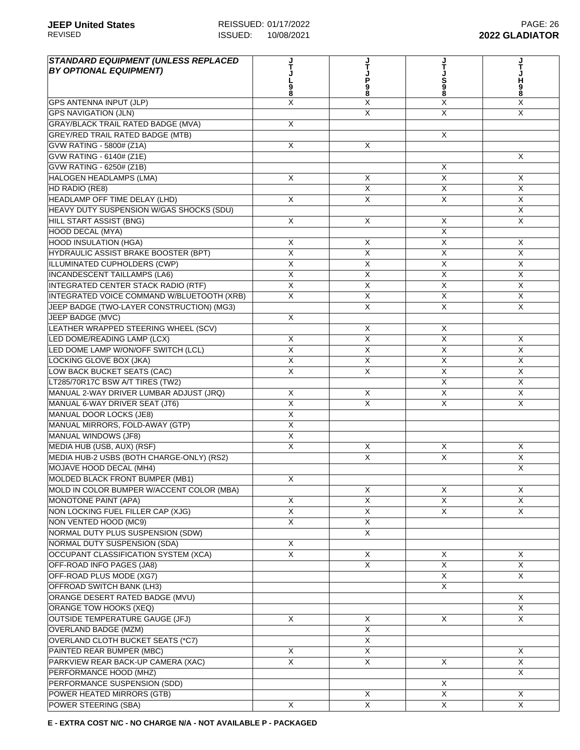| <b>STANDARD EQUIPMENT (UNLESS REPLACED</b><br><b>BY OPTIONAL EQUIPMENT)</b> |                         | P<br>98                 | S<br>8                  | н<br>9<br>8             |
|-----------------------------------------------------------------------------|-------------------------|-------------------------|-------------------------|-------------------------|
| <b>GPS ANTENNA INPUT (JLP)</b>                                              | X                       | Χ                       | X                       | X                       |
| <b>GPS NAVIGATION (JLN)</b>                                                 |                         | X                       | X                       | $\mathsf{X}$            |
| <b>GRAY/BLACK TRAIL RATED BADGE (MVA)</b>                                   | X                       |                         |                         |                         |
| <b>GREY/RED TRAIL RATED BADGE (MTB)</b>                                     |                         |                         | X                       |                         |
| GVW RATING - 5800# (Z1A)                                                    | X                       | X                       |                         |                         |
| GVW RATING - 6140# (Z1E)                                                    |                         |                         |                         | $\times$                |
| GVW RATING - 6250# (Z1B)                                                    |                         |                         | X                       |                         |
| <b>HALOGEN HEADLAMPS (LMA)</b>                                              | X                       | $\overline{X}$          | X                       | X                       |
| HD RADIO (RE8)                                                              |                         | $\overline{X}$          | X                       | $\overline{\mathsf{x}}$ |
| HEADLAMP OFF TIME DELAY (LHD)                                               | X                       | $\overline{X}$          | $\overline{\mathsf{X}}$ | $\overline{X}$          |
| HEAVY DUTY SUSPENSION W/GAS SHOCKS (SDU)                                    |                         |                         |                         | $\times$                |
| <b>HILL START ASSIST (BNG)</b>                                              | X                       | X                       | X                       | X                       |
| <b>HOOD DECAL (MYA)</b>                                                     |                         |                         | X                       |                         |
| <b>HOOD INSULATION (HGA)</b>                                                | Χ                       | х                       | X                       | X                       |
| HYDRAULIC ASSIST BRAKE BOOSTER (BPT)                                        | X                       | X                       | X                       | $\mathsf{X}$            |
| ILLUMINATED CUPHOLDERS (CWP)                                                | X                       | X                       | X                       | $\times$                |
| <b>INCANDESCENT TAILLAMPS (LA6)</b>                                         | X                       | $\overline{X}$          | X                       | X                       |
|                                                                             | $\overline{\mathsf{x}}$ | $\overline{X}$          | $\overline{X}$          | $\overline{\mathsf{x}}$ |
| INTEGRATED CENTER STACK RADIO (RTF)                                         |                         |                         |                         |                         |
| INTEGRATED VOICE COMMAND W/BLUETOOTH (XRB)                                  | X                       | X                       | X                       | X                       |
| JEEP BADGE (TWO-LAYER CONSTRUCTION) (MG3)                                   |                         | $\overline{X}$          | $\overline{\mathsf{x}}$ | $\mathsf{X}$            |
| JEEP BADGE (MVC)                                                            | X                       |                         |                         |                         |
| LEATHER WRAPPED STEERING WHEEL (SCV)                                        |                         | X                       | X                       |                         |
| LED DOME/READING LAMP (LCX)                                                 | X                       | X                       | $\sf X$                 | X                       |
| LED DOME LAMP W/ON/OFF SWITCH (LCL)                                         | X                       | X                       | X                       | X                       |
| LOCKING GLOVE BOX (JKA)                                                     | X                       | X                       | X                       | $\times$                |
| LOW BACK BUCKET SEATS (CAC)                                                 | X                       | X                       | X                       | X                       |
| LT285/70R17C BSW A/T TIRES (TW2)                                            |                         |                         | $\overline{\mathsf{x}}$ | $\mathsf{X}$            |
| MANUAL 2-WAY DRIVER LUMBAR ADJUST (JRQ)                                     | X                       | X                       | $\overline{\mathsf{x}}$ | $\overline{X}$          |
| MANUAL 6-WAY DRIVER SEAT (JT6)                                              | $\overline{X}$          | X                       | $\overline{X}$          | X                       |
| MANUAL DOOR LOCKS (JE8)                                                     | X                       |                         |                         |                         |
| MANUAL MIRRORS, FOLD-AWAY (GTP)                                             | X                       |                         |                         |                         |
| <b>MANUAL WINDOWS (JF8)</b>                                                 | X                       |                         |                         |                         |
| MEDIA HUB (USB, AUX) (RSF)                                                  | X                       | X                       | X                       | X                       |
| MEDIA HUB-2 USBS (BOTH CHARGE-ONLY) (RS2)                                   |                         | X                       | X                       | $\mathsf{X}$            |
| MOJAVE HOOD DECAL (MH4)                                                     |                         |                         |                         | X                       |
| MOLDED BLACK FRONT BUMPER (MB1)                                             | X                       |                         |                         |                         |
| MOLD IN COLOR BUMPER W/ACCENT COLOR (MBA)                                   |                         | $\overline{\mathsf{x}}$ | X                       | X                       |
| <b>MONOTONE PAINT (APA)</b>                                                 | X                       | $\overline{\mathsf{X}}$ | X                       | $\overline{X}$          |
| NON LOCKING FUEL FILLER CAP (XJG)                                           | $\overline{X}$          | X                       | $\mathsf{X}$            | $\times$                |
| NON VENTED HOOD (MC9)                                                       | X                       | X                       |                         |                         |
| NORMAL DUTY PLUS SUSPENSION (SDW)                                           |                         | X                       |                         |                         |
| NORMAL DUTY SUSPENSION (SDA)                                                | X                       |                         |                         |                         |
| OCCUPANT CLASSIFICATION SYSTEM (XCA)                                        | X                       | X                       | X                       | X                       |
| OFF-ROAD INFO PAGES (JA8)                                                   |                         | X                       | X                       | X                       |
| OFF-ROAD PLUS MODE (XG7)                                                    |                         |                         | X                       | X                       |
| OFFROAD SWITCH BANK (LH3)                                                   |                         |                         | X                       |                         |
| ORANGE DESERT RATED BADGE (MVU)                                             |                         |                         |                         | X                       |
| ORANGE TOW HOOKS (XEQ)                                                      |                         |                         |                         | X                       |
| <b>OUTSIDE TEMPERATURE GAUGE (JFJ)</b>                                      | X                       | X                       | X                       | X                       |
| <b>OVERLAND BADGE (MZM)</b>                                                 |                         | X                       |                         |                         |
| OVERLAND CLOTH BUCKET SEATS (*C7)                                           |                         | X                       |                         |                         |
| PAINTED REAR BUMPER (MBC)                                                   | X                       | X                       |                         | X                       |
| PARKVIEW REAR BACK-UP CAMERA (XAC)                                          | X                       | X                       | X                       | X                       |
| PERFORMANCE HOOD (MHZ)                                                      |                         |                         |                         | X                       |
| PERFORMANCE SUSPENSION (SDD)                                                |                         |                         | $\sf X$                 |                         |
| POWER HEATED MIRRORS (GTB)                                                  |                         | X                       | $\overline{X}$          | X                       |
| POWER STEERING (SBA)                                                        | X                       | X                       | $\overline{\mathsf{X}}$ | $\overline{X}$          |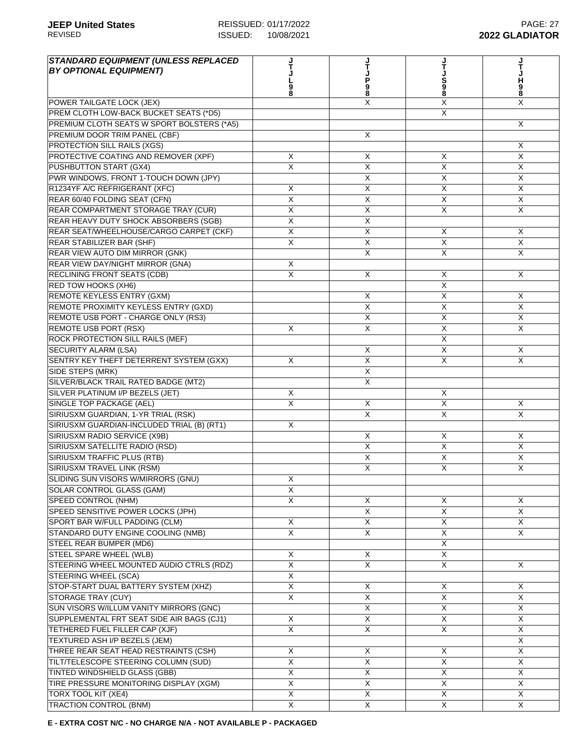| <b>STANDARD EQUIPMENT (UNLESS REPLACED</b><br><b>BY OPTIONAL EQUIPMENT)</b> |                           | Ť                       |                         |                |
|-----------------------------------------------------------------------------|---------------------------|-------------------------|-------------------------|----------------|
|                                                                             |                           |                         |                         | н              |
|                                                                             |                           | P<br>98                 | S<br>8                  | 9<br>8         |
| POWER TAILGATE LOCK (JEX)                                                   |                           | Χ                       | X                       | X              |
| PREM CLOTH LOW-BACK BUCKET SEATS (*D5)                                      |                           |                         | X                       |                |
| PREMIUM CLOTH SEATS W SPORT BOLSTERS (*A5)                                  |                           |                         |                         | X              |
| PREMIUM DOOR TRIM PANEL (CBF)                                               |                           | X                       |                         |                |
| PROTECTION SILL RAILS (XGS)                                                 |                           |                         |                         | Χ              |
| PROTECTIVE COATING AND REMOVER (XPF)                                        | X                         | X                       | X                       | $\mathsf{X}$   |
| PUSHBUTTON START (GX4)                                                      | X                         | X                       | X                       | X              |
| PWR WINDOWS, FRONT 1-TOUCH DOWN (JPY)                                       |                           | X                       | X                       | $\overline{X}$ |
| R1234YF A/C REFRIGERANT (XFC)                                               | $\boldsymbol{\mathsf{X}}$ | $\overline{X}$          | $\overline{X}$          | $\overline{X}$ |
| REAR 60/40 FOLDING SEAT (CFN)                                               | $\overline{\mathsf{x}}$   | $\overline{\mathsf{x}}$ | $\overline{\mathsf{x}}$ | $\overline{X}$ |
| REAR COMPARTMENT STORAGE TRAY (CUR)                                         | X                         | X                       | X                       | $\times$       |
| REAR HEAVY DUTY SHOCK ABSORBERS (SGB)                                       | X                         | X                       |                         |                |
| REAR SEAT/WHEELHOUSE/CARGO CARPET (CKF)                                     | X                         | X                       | X                       | X              |
| <b>REAR STABILIZER BAR (SHF)</b>                                            | X                         | X                       | X                       | X              |
| REAR VIEW AUTO DIM MIRROR (GNK)                                             |                           | X                       | X                       | $\times$       |
| REAR VIEW DAY/NIGHT MIRROR (GNA)                                            | X                         |                         |                         |                |
| <b>RECLINING FRONT SEATS (CDB)</b>                                          | X                         | X                       | Χ                       | X              |
| <b>RED TOW HOOKS (XH6)</b>                                                  |                           |                         | $\overline{\mathsf{x}}$ |                |
| <b>REMOTE KEYLESS ENTRY (GXM)</b>                                           |                           | X                       | X                       | X              |
| REMOTE PROXIMITY KEYLESS ENTRY (GXD)                                        |                           | $\overline{\mathsf{x}}$ | $\overline{\mathsf{x}}$ | $\overline{X}$ |
| REMOTE USB PORT - CHARGE ONLY (RS3)                                         |                           | X                       | X                       | X              |
| <b>REMOTE USB PORT (RSX)</b>                                                | X                         | X                       | X                       | $\mathsf{X}$   |
| ROCK PROTECTION SILL RAILS (MEF)                                            |                           |                         | $\times$                |                |
| <b>SECURITY ALARM (LSA)</b>                                                 |                           | X                       | X                       | X              |
| SENTRY KEY THEFT DETERRENT SYSTEM (GXX)                                     | X                         | X                       | X                       | $\times$       |
| SIDE STEPS (MRK)                                                            |                           | X                       |                         |                |
| SILVER/BLACK TRAIL RATED BADGE (MT2)                                        |                           | X                       |                         |                |
| SILVER PLATINUM I/P BEZELS (JET)                                            | X                         |                         | X                       |                |
| SINGLE TOP PACKAGE (AEL)                                                    | X                         | X                       | $\overline{X}$          | X              |
| SIRIUSXM GUARDIAN, 1-YR TRIAL (RSK)                                         |                           | X                       | $\overline{\mathsf{x}}$ | $\overline{X}$ |
| SIRIUSXM GUARDIAN-INCLUDED TRIAL (B) (RT1)                                  | X                         |                         |                         |                |
| SIRIUSXM RADIO SERVICE (X9B)                                                |                           | X                       | X                       | $\mathsf{X}$   |
| SIRIUSXM SATELLITE RADIO (RSD)                                              |                           | X                       | X                       | X              |
| <b>SIRIUSXM TRAFFIC PLUS (RTB)</b>                                          |                           | X                       | $\mathsf{X}$            | $\times$       |
| SIRIUSXM TRAVEL LINK (RSM)                                                  |                           | X                       | X                       | X              |
| SLIDING SUN VISORS W/MIRRORS (GNU)                                          | X                         |                         |                         |                |
| SOLAR CONTROL GLASS (GAM)                                                   | $\overline{X}$            |                         |                         |                |
| <b>SPEED CONTROL (NHM)</b>                                                  | $\overline{X}$            | X                       | X                       | X              |
| SPEED SENSITIVE POWER LOCKS (JPH)                                           |                           | $\overline{X}$          | $\overline{X}$          | $\overline{X}$ |
| SPORT BAR W/FULL PADDING (CLM)                                              | X                         | X                       | X                       | $\overline{X}$ |
| STANDARD DUTY ENGINE COOLING (NMB)                                          | $\overline{\mathsf{x}}$   | X                       | X                       | $\mathsf{X}$   |
| STEEL REAR BUMPER (MD6)                                                     |                           |                         | X                       |                |
| STEEL SPARE WHEEL (WLB)                                                     | X                         | X                       | X                       |                |
| STEERING WHEEL MOUNTED AUDIO CTRLS (RDZ)                                    | X                         | X                       | X                       | X              |
| STEERING WHEEL (SCA)                                                        | $\overline{\mathsf{x}}$   |                         |                         |                |
| STOP-START DUAL BATTERY SYSTEM (XHZ)                                        | $\overline{\mathsf{x}}$   | X                       | X                       | X              |
| <b>STORAGE TRAY (CUY)</b>                                                   | X                         | $\overline{X}$          | X                       | $\overline{X}$ |
| SUN VISORS W/ILLUM VANITY MIRRORS (GNC)                                     |                           | $\overline{\mathsf{x}}$ | $\overline{X}$          | X              |
| SUPPLEMENTAL FRT SEAT SIDE AIR BAGS (CJ1)                                   | X                         | X                       | X                       | X              |
| TETHERED FUEL FILLER CAP (XJF)                                              | $\overline{\mathsf{x}}$   | $\overline{\mathsf{x}}$ | $\overline{X}$          | X              |
| TEXTURED ASH I/P BEZELS (JEM)                                               |                           |                         |                         | X              |
| THREE REAR SEAT HEAD RESTRAINTS (CSH)                                       | X                         | X                       | $\mathsf{X}$            | X              |
| TILT/TELESCOPE STEERING COLUMN (SUD)                                        | X                         | X                       | X                       | X              |
| TINTED WINDSHIELD GLASS (GBB)                                               | X                         | X                       | X                       | X              |
| TIRE PRESSURE MONITORING DISPLAY (XGM)                                      | $\overline{X}$            | $\overline{X}$          | $\overline{\mathsf{x}}$ | $\overline{X}$ |
| <b>TORX TOOL KIT (XE4)</b>                                                  | $\overline{\mathsf{x}}$   | $\overline{X}$          | $\overline{X}$          | $\overline{X}$ |
| <b>TRACTION CONTROL (BNM)</b>                                               | $\overline{\mathsf{X}}$   | $\overline{X}$          | $\overline{X}$          | $\overline{X}$ |